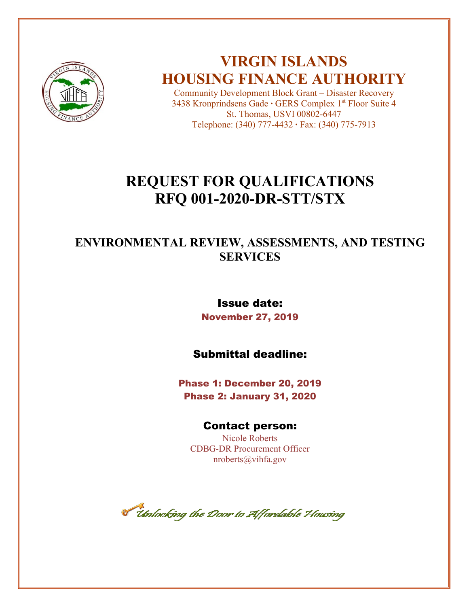

## **VIRGIN ISLANDS HOUSING FINANCE AUTHORITY**

Community Development Block Grant – Disaster Recovery 3438 Kronprindsens Gade **∙** GERS Complex 1st Floor Suite 4 St. Thomas, USVI 00802-6447 Telephone: (340) 777-4432 **∙** Fax: (340) 775-7913

## **REQUEST FOR QUALIFICATIONS RFQ 001-2020-DR-STT/STX**

## **ENVIRONMENTAL REVIEW, ASSESSMENTS, AND TESTING SERVICES**

## Issue date: November 27, 2019

## Submittal deadline:

Phase 1: December 20, 2019 Phase 2: January 31, 2020

## Contact person:

Nicole Roberts CDBG-DR Procurement Officer nroberts@vihfa.gov

**T theory the Door to Affordable Housing**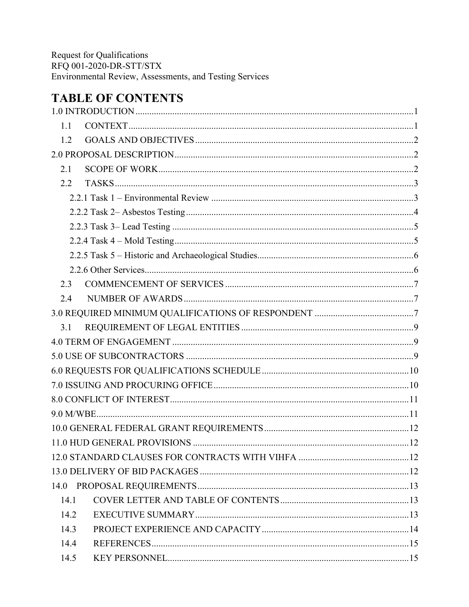## **TABLE OF CONTENTS**

| 1.1  |  |  |  |  |  |  |
|------|--|--|--|--|--|--|
| 1.2  |  |  |  |  |  |  |
|      |  |  |  |  |  |  |
| 2.1  |  |  |  |  |  |  |
| 2.2  |  |  |  |  |  |  |
|      |  |  |  |  |  |  |
|      |  |  |  |  |  |  |
|      |  |  |  |  |  |  |
|      |  |  |  |  |  |  |
|      |  |  |  |  |  |  |
|      |  |  |  |  |  |  |
| 2.3  |  |  |  |  |  |  |
| 2.4  |  |  |  |  |  |  |
|      |  |  |  |  |  |  |
| 3.1  |  |  |  |  |  |  |
|      |  |  |  |  |  |  |
|      |  |  |  |  |  |  |
|      |  |  |  |  |  |  |
|      |  |  |  |  |  |  |
|      |  |  |  |  |  |  |
|      |  |  |  |  |  |  |
|      |  |  |  |  |  |  |
|      |  |  |  |  |  |  |
|      |  |  |  |  |  |  |
|      |  |  |  |  |  |  |
|      |  |  |  |  |  |  |
| 14.1 |  |  |  |  |  |  |
| 14.2 |  |  |  |  |  |  |
| 14.3 |  |  |  |  |  |  |
| 14.4 |  |  |  |  |  |  |
| 14.5 |  |  |  |  |  |  |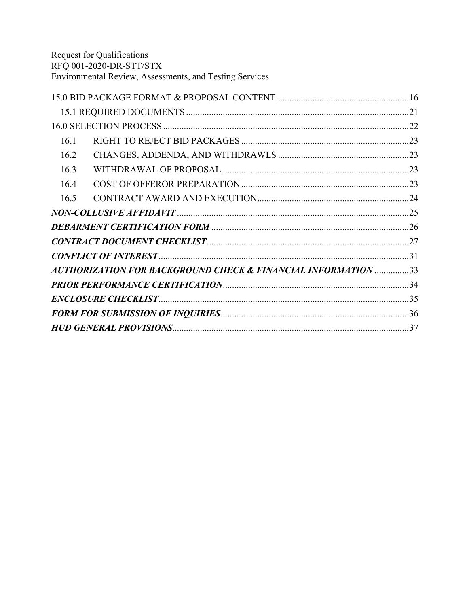| 16.1 |                                                               |  |
|------|---------------------------------------------------------------|--|
| 16.2 |                                                               |  |
| 16.3 |                                                               |  |
| 16.4 |                                                               |  |
| 16.5 |                                                               |  |
|      |                                                               |  |
|      |                                                               |  |
|      |                                                               |  |
|      |                                                               |  |
|      | AUTHORIZATION FOR BACKGROUND CHECK & FINANCIAL INFORMATION 33 |  |
|      |                                                               |  |
|      |                                                               |  |
|      |                                                               |  |
|      |                                                               |  |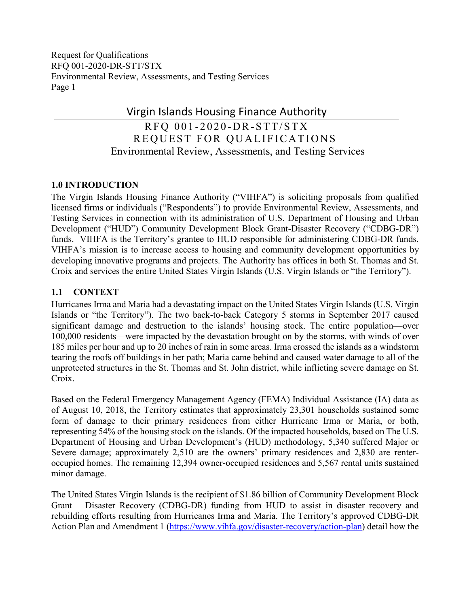## Virgin Islands Housing Finance Authority RFQ 001-2020-DR-STT/STX

 REQUEST FOR QUALIFICATIONS Environmental Review, Assessments, and Testing Services

## <span id="page-3-0"></span>**1.0 INTRODUCTION**

The Virgin Islands Housing Finance Authority ("VIHFA") is soliciting proposals from qualified licensed firms or individuals ("Respondents") to provide Environmental Review, Assessments, and Testing Services in connection with its administration of U.S. Department of Housing and Urban Development ("HUD") Community Development Block Grant-Disaster Recovery ("CDBG-DR") funds. VIHFA is the Territory's grantee to HUD responsible for administering CDBG-DR funds. VIHFA's mission is to increase access to housing and community development opportunities by developing innovative programs and projects. The Authority has offices in both St. Thomas and St. Croix and services the entire United States Virgin Islands (U.S. Virgin Islands or "the Territory").

## <span id="page-3-1"></span>**1.1 CONTEXT**

Hurricanes Irma and Maria had a devastating impact on the United States Virgin Islands (U.S. Virgin Islands or "the Territory"). The two back-to-back Category 5 storms in September 2017 caused significant damage and destruction to the islands' housing stock. The entire population—over 100,000 residents—were impacted by the devastation brought on by the storms, with winds of over 185 miles per hour and up to 20 inches of rain in some areas. Irma crossed the islands as a windstorm tearing the roofs off buildings in her path; Maria came behind and caused water damage to all of the unprotected structures in the St. Thomas and St. John district, while inflicting severe damage on St. Croix.

Based on the Federal Emergency Management Agency (FEMA) Individual Assistance (IA) data as of August 10, 2018, the Territory estimates that approximately 23,301 households sustained some form of damage to their primary residences from either Hurricane Irma or Maria, or both, representing 54% of the housing stock on the islands. Of the impacted households, based on The U.S. Department of Housing and Urban Development's (HUD) methodology, 5,340 suffered Major or Severe damage; approximately 2,510 are the owners' primary residences and 2,830 are renteroccupied homes. The remaining 12,394 owner-occupied residences and 5,567 rental units sustained minor damage.

The United States Virgin Islands is the recipient of \$1.86 billion of Community Development Block Grant – Disaster Recovery (CDBG-DR) funding from HUD to assist in disaster recovery and rebuilding efforts resulting from Hurricanes Irma and Maria. The Territory's approved CDBG-DR Action Plan and Amendment 1 [\(https://www.vihfa.gov/disaster-recovery/action-plan\)](https://www.vihfa.gov/disaster-recovery/action-plan) detail how the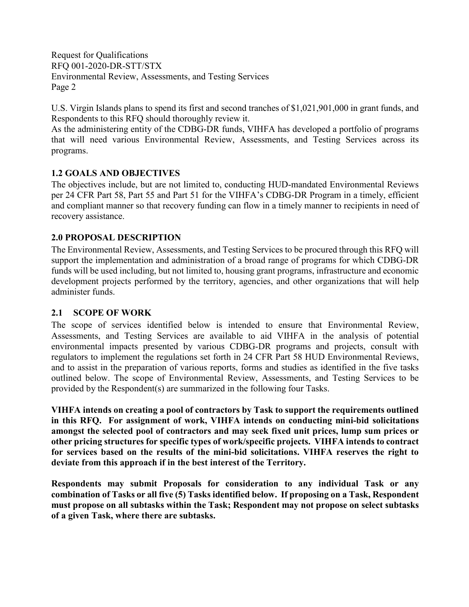U.S. Virgin Islands plans to spend its first and second tranches of \$1,021,901,000 in grant funds, and Respondents to this RFQ should thoroughly review it.

As the administering entity of the CDBG-DR funds, VIHFA has developed a portfolio of programs that will need various Environmental Review, Assessments, and Testing Services across its programs.

## <span id="page-4-0"></span>**1.2 GOALS AND OBJECTIVES**

The objectives include, but are not limited to, conducting HUD-mandated Environmental Reviews per 24 CFR Part 58, Part 55 and Part 51 for the VIHFA's CDBG-DR Program in a timely, efficient and compliant manner so that recovery funding can flow in a timely manner to recipients in need of recovery assistance.

## <span id="page-4-1"></span>**2.0 PROPOSAL DESCRIPTION**

The Environmental Review, Assessments, and Testing Services to be procured through this RFQ will support the implementation and administration of a broad range of programs for which CDBG-DR funds will be used including, but not limited to, housing grant programs, infrastructure and economic development projects performed by the territory, agencies, and other organizations that will help administer funds.

## <span id="page-4-2"></span>**2.1 SCOPE OF WORK**

The scope of services identified below is intended to ensure that Environmental Review, Assessments, and Testing Services are available to aid VIHFA in the analysis of potential environmental impacts presented by various CDBG-DR programs and projects, consult with regulators to implement the regulations set forth in 24 CFR Part 58 HUD Environmental Reviews, and to assist in the preparation of various reports, forms and studies as identified in the five tasks outlined below. The scope of Environmental Review, Assessments, and Testing Services to be provided by the Respondent(s) are summarized in the following four Tasks.

**VIHFA intends on creating a pool of contractors by Task to support the requirements outlined in this RFQ. For assignment of work, VIHFA intends on conducting mini-bid solicitations amongst the selected pool of contractors and may seek fixed unit prices, lump sum prices or other pricing structures for specific types of work/specific projects. VIHFA intends to contract for services based on the results of the mini-bid solicitations. VIHFA reserves the right to deviate from this approach if in the best interest of the Territory.** 

**Respondents may submit Proposals for consideration to any individual Task or any combination of Tasks or all five (5) Tasks identified below. If proposing on a Task, Respondent must propose on all subtasks within the Task; Respondent may not propose on select subtasks of a given Task, where there are subtasks.**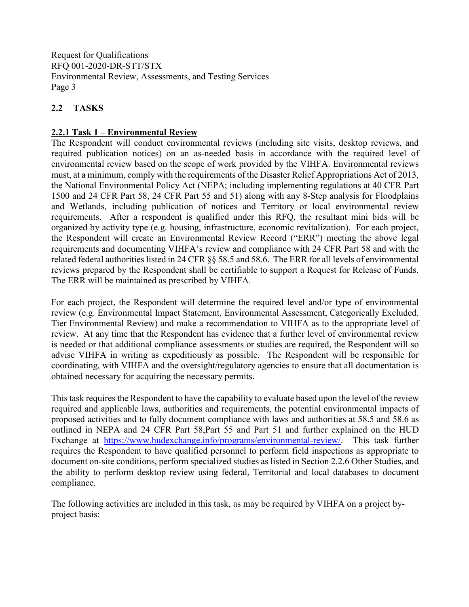## <span id="page-5-0"></span>**2.2 TASKS**

## <span id="page-5-1"></span>**2.2.1 Task 1 – Environmental Review**

The Respondent will conduct environmental reviews (including site visits, desktop reviews, and required publication notices) on an as-needed basis in accordance with the required level of environmental review based on the scope of work provided by the VIHFA. Environmental reviews must, at a minimum, comply with the requirements of the Disaster Relief Appropriations Act of 2013, the National Environmental Policy Act (NEPA; including implementing regulations at 40 CFR Part 1500 and 24 CFR Part 58, 24 CFR Part 55 and 51) along with any 8-Step analysis for Floodplains and Wetlands, including publication of notices and Territory or local environmental review requirements. After a respondent is qualified under this RFQ, the resultant mini bids will be organized by activity type (e.g. housing, infrastructure, economic revitalization). For each project, the Respondent will create an Environmental Review Record ("ERR") meeting the above legal requirements and documenting VIHFA's review and compliance with 24 CFR Part 58 and with the related federal authorities listed in 24 CFR §§ 58.5 and 58.6. The ERR for all levels of environmental reviews prepared by the Respondent shall be certifiable to support a Request for Release of Funds. The ERR will be maintained as prescribed by VIHFA.

For each project, the Respondent will determine the required level and/or type of environmental review (e.g. Environmental Impact Statement, Environmental Assessment, Categorically Excluded. Tier Environmental Review) and make a recommendation to VIHFA as to the appropriate level of review. At any time that the Respondent has evidence that a further level of environmental review is needed or that additional compliance assessments or studies are required, the Respondent will so advise VIHFA in writing as expeditiously as possible. The Respondent will be responsible for coordinating, with VIHFA and the oversight/regulatory agencies to ensure that all documentation is obtained necessary for acquiring the necessary permits.

This task requires the Respondent to have the capability to evaluate based upon the level of the review required and applicable laws, authorities and requirements, the potential environmental impacts of proposed activities and to fully document compliance with laws and authorities at 58.5 and 58.6 as outlined in NEPA and 24 CFR Part 58,Part 55 and Part 51 and further explained on the HUD Exchange at [https://www.hudexchange.info/programs/environmental-review/.](https://www.hudexchange.info/programs/environmental-review/) This task further requires the Respondent to have qualified personnel to perform field inspections as appropriate to document on-site conditions, perform specialized studies as listed in Section 2.2.6 Other Studies, and the ability to perform desktop review using federal, Territorial and local databases to document compliance.

The following activities are included in this task, as may be required by VIHFA on a project byproject basis: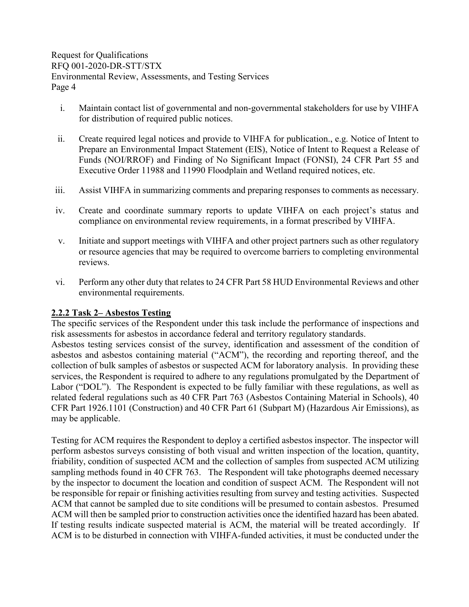- i. Maintain contact list of governmental and non-governmental stakeholders for use by VIHFA for distribution of required public notices.
- ii. Create required legal notices and provide to VIHFA for publication., e.g. Notice of Intent to Prepare an Environmental Impact Statement (EIS), Notice of Intent to Request a Release of Funds (NOI/RROF) and Finding of No Significant Impact (FONSI), 24 CFR Part 55 and Executive Order 11988 and 11990 Floodplain and Wetland required notices, etc.
- iii. Assist VIHFA in summarizing comments and preparing responses to comments as necessary.
- iv. Create and coordinate summary reports to update VIHFA on each project's status and compliance on environmental review requirements, in a format prescribed by VIHFA.
- v. Initiate and support meetings with VIHFA and other project partners such as other regulatory or resource agencies that may be required to overcome barriers to completing environmental reviews.
- vi. Perform any other duty that relates to 24 CFR Part 58 HUD Environmental Reviews and other environmental requirements.

#### <span id="page-6-0"></span>**2.2.2 Task 2– Asbestos Testing**

The specific services of the Respondent under this task include the performance of inspections and risk assessments for asbestos in accordance federal and territory regulatory standards.

Asbestos testing services consist of the survey, identification and assessment of the condition of asbestos and asbestos containing material ("ACM"), the recording and reporting thereof, and the collection of bulk samples of asbestos or suspected ACM for laboratory analysis. In providing these services, the Respondent is required to adhere to any regulations promulgated by the Department of Labor ("DOL"). The Respondent is expected to be fully familiar with these regulations, as well as related federal regulations such as 40 CFR Part 763 (Asbestos Containing Material in Schools), 40 CFR Part 1926.1101 (Construction) and 40 CFR Part 61 (Subpart M) (Hazardous Air Emissions), as may be applicable.

Testing for ACM requires the Respondent to deploy a certified asbestos inspector. The inspector will perform asbestos surveys consisting of both visual and written inspection of the location, quantity, friability, condition of suspected ACM and the collection of samples from suspected ACM utilizing sampling methods found in 40 CFR 763. The Respondent will take photographs deemed necessary by the inspector to document the location and condition of suspect ACM. The Respondent will not be responsible for repair or finishing activities resulting from survey and testing activities. Suspected ACM that cannot be sampled due to site conditions will be presumed to contain asbestos. Presumed ACM will then be sampled prior to construction activities once the identified hazard has been abated. If testing results indicate suspected material is ACM, the material will be treated accordingly. If ACM is to be disturbed in connection with VIHFA-funded activities, it must be conducted under the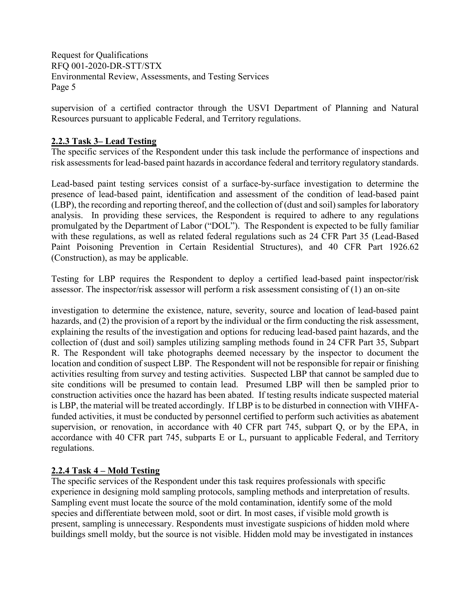supervision of a certified contractor through the USVI Department of Planning and Natural Resources pursuant to applicable Federal, and Territory regulations.

## <span id="page-7-0"></span>**2.2.3 Task 3– Lead Testing**

The specific services of the Respondent under this task include the performance of inspections and risk assessments for lead-based paint hazards in accordance federal and territory regulatory standards.

Lead-based paint testing services consist of a surface-by-surface investigation to determine the presence of lead-based paint, identification and assessment of the condition of lead-based paint (LBP), the recording and reporting thereof, and the collection of (dust and soil) samples for laboratory analysis. In providing these services, the Respondent is required to adhere to any regulations promulgated by the Department of Labor ("DOL"). The Respondent is expected to be fully familiar with these regulations, as well as related federal regulations such as 24 CFR Part 35 (Lead-Based Paint Poisoning Prevention in Certain Residential Structures), and 40 CFR Part 1926.62 (Construction), as may be applicable.

Testing for LBP requires the Respondent to deploy a certified lead-based paint inspector/risk assessor. The inspector/risk assessor will perform a risk assessment consisting of (1) an on-site

investigation to determine the existence, nature, severity, source and location of lead-based paint hazards, and (2) the provision of a report by the individual or the firm conducting the risk assessment, explaining the results of the investigation and options for reducing lead-based paint hazards, and the collection of (dust and soil) samples utilizing sampling methods found in 24 CFR Part 35, Subpart R. The Respondent will take photographs deemed necessary by the inspector to document the location and condition of suspect LBP. The Respondent will not be responsible for repair or finishing activities resulting from survey and testing activities. Suspected LBP that cannot be sampled due to site conditions will be presumed to contain lead. Presumed LBP will then be sampled prior to construction activities once the hazard has been abated. If testing results indicate suspected material is LBP, the material will be treated accordingly. If LBP is to be disturbed in connection with VIHFAfunded activities, it must be conducted by personnel certified to perform such activities as abatement supervision, or renovation, in accordance with 40 CFR part 745, subpart Q, or by the EPA, in accordance with 40 CFR part 745, subparts E or L, pursuant to applicable Federal, and Territory regulations.

## <span id="page-7-1"></span>**2.2.4 Task 4 – Mold Testing**

The specific services of the Respondent under this task requires professionals with specific experience in designing mold sampling protocols, sampling methods and interpretation of results. Sampling event must locate the source of the mold contamination, identify some of the mold species and differentiate between mold, soot or dirt. In most cases, if visible mold growth is present, sampling is unnecessary. Respondents must investigate suspicions of hidden mold where buildings smell moldy, but the source is not visible. Hidden mold may be investigated in instances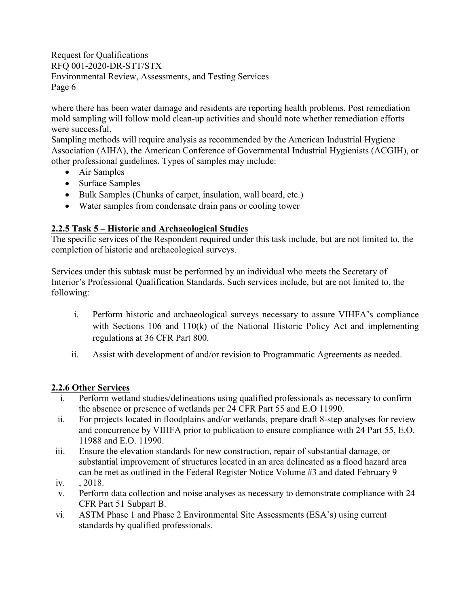where there has been water damage and residents are reporting health problems. Post remediation mold sampling will follow mold clean-up activities and should note whether remediation efforts were successful.

Sampling methods will require analysis as recommended by the American Industrial Hygiene Association (AIHA), the American Conference of Governmental Industrial Hygienists (ACGIH), or other professional guidelines. Types of samples may include:

- Air Samples
- Surface Samples
- Bulk Samples (Chunks of carpet, insulation, wall board, etc.)
- Water samples from condensate drain pans or cooling tower

## <span id="page-8-0"></span>**2.2.5 Task 5 – Historic and Archaeological Studies**

The specific services of the Respondent required under this task include, but are not limited to, the completion of historic and archaeological surveys.

Services under this subtask must be performed by an individual who meets the Secretary of Interior's Professional Qualification Standards. Such services include, but are not limited to, the following:

- i. Perform historic and archaeological surveys necessary to assure VIHFA's compliance with Sections 106 and 110(k) of the National Historic Policy Act and implementing regulations at 36 CFR Part 800.
- ii. Assist with development of and/or revision to Programmatic Agreements as needed.

## <span id="page-8-1"></span>**2.2.6 Other Services**

- i. Perform wetland studies/delineations using qualified professionals as necessary to confirm the absence or presence of wetlands per 24 CFR Part 55 and E.O 11990.
- ii. For projects located in floodplains and/or wetlands, prepare draft 8-step analyses for review and concurrence by VIHFA prior to publication to ensure compliance with 24 Part 55, E.O. 11988 and E.O. 11990.
- iii. Ensure the elevation standards for new construction, repair of substantial damage, or substantial improvement of structures located in an area delineated as a flood hazard area can be met as outlined in the Federal Register Notice Volume #3 and dated February 9
- iv. , 2018.
- v. Perform data collection and noise analyses as necessary to demonstrate compliance with 24 CFR Part 51 Subpart B.
- vi. ASTM Phase 1 and Phase 2 Environmental Site Assessments (ESA's) using current standards by qualified professionals.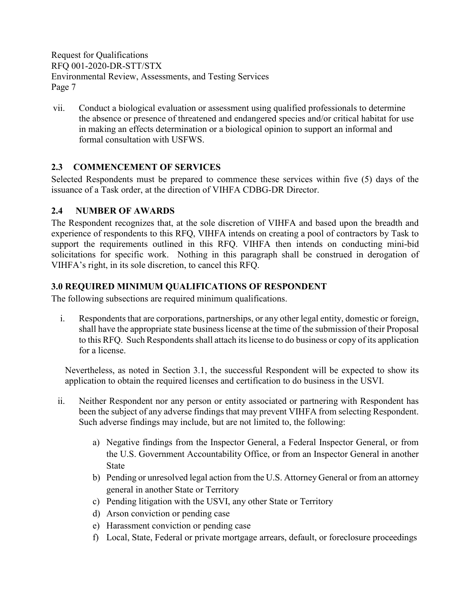vii. Conduct a biological evaluation or assessment using qualified professionals to determine the absence or presence of threatened and endangered species and/or critical habitat for use in making an effects determination or a biological opinion to support an informal and formal consultation with USFWS.

## <span id="page-9-0"></span>**2.3 COMMENCEMENT OF SERVICES**

Selected Respondents must be prepared to commence these services within five (5) days of the issuance of a Task order, at the direction of VIHFA CDBG-DR Director.

## <span id="page-9-1"></span>**2.4 NUMBER OF AWARDS**

The Respondent recognizes that, at the sole discretion of VIHFA and based upon the breadth and experience of respondents to this RFQ, VIHFA intends on creating a pool of contractors by Task to support the requirements outlined in this RFQ. VIHFA then intends on conducting mini-bid solicitations for specific work. Nothing in this paragraph shall be construed in derogation of VIHFA's right, in its sole discretion, to cancel this RFQ.

## <span id="page-9-2"></span>**3.0 REQUIRED MINIMUM QUALIFICATIONS OF RESPONDENT**

The following subsections are required minimum qualifications.

i. Respondents that are corporations, partnerships, or any other legal entity, domestic or foreign, shall have the appropriate state business license at the time of the submission of their Proposal to this RFQ. Such Respondents shall attach its license to do business or copy of its application for a license.

Nevertheless, as noted in Section 3.1, the successful Respondent will be expected to show its application to obtain the required licenses and certification to do business in the USVI.

- ii. Neither Respondent nor any person or entity associated or partnering with Respondent has been the subject of any adverse findings that may prevent VIHFA from selecting Respondent. Such adverse findings may include, but are not limited to, the following:
	- a) Negative findings from the Inspector General, a Federal Inspector General, or from the U.S. Government Accountability Office, or from an Inspector General in another State
	- b) Pending or unresolved legal action from the U.S. Attorney General or from an attorney general in another State or Territory
	- c) Pending litigation with the USVI, any other State or Territory
	- d) Arson conviction or pending case
	- e) Harassment conviction or pending case
	- f) Local, State, Federal or private mortgage arrears, default, or foreclosure proceedings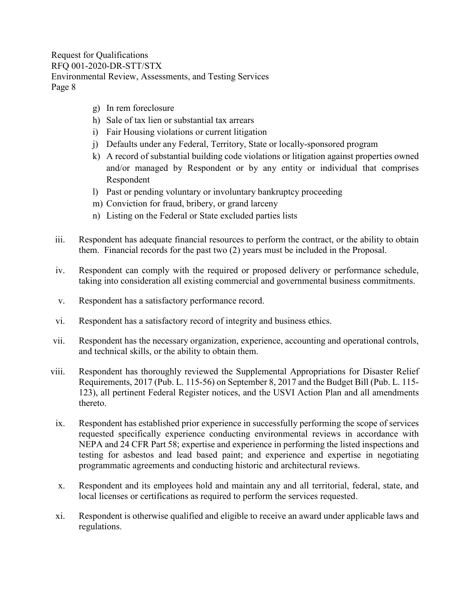- g) In rem foreclosure
- h) Sale of tax lien or substantial tax arrears
- i) Fair Housing violations or current litigation
- j) Defaults under any Federal, Territory, State or locally-sponsored program
- k) A record of substantial building code violations or litigation against properties owned and/or managed by Respondent or by any entity or individual that comprises Respondent
- l) Past or pending voluntary or involuntary bankruptcy proceeding
- m) Conviction for fraud, bribery, or grand larceny
- n) Listing on the Federal or State excluded parties lists
- iii. Respondent has adequate financial resources to perform the contract, or the ability to obtain them. Financial records for the past two (2) years must be included in the Proposal.
- iv. Respondent can comply with the required or proposed delivery or performance schedule, taking into consideration all existing commercial and governmental business commitments.
- v. Respondent has a satisfactory performance record.
- vi. Respondent has a satisfactory record of integrity and business ethics.
- vii. Respondent has the necessary organization, experience, accounting and operational controls, and technical skills, or the ability to obtain them.
- viii. Respondent has thoroughly reviewed the Supplemental Appropriations for Disaster Relief Requirements, 2017 (Pub. L. 115-56) on September 8, 2017 and the Budget Bill (Pub. L. 115- 123), all pertinent Federal Register notices, and the USVI Action Plan and all amendments thereto.
	- ix. Respondent has established prior experience in successfully performing the scope of services requested specifically experience conducting environmental reviews in accordance with NEPA and 24 CFR Part 58; expertise and experience in performing the listed inspections and testing for asbestos and lead based paint; and experience and expertise in negotiating programmatic agreements and conducting historic and architectural reviews.
	- x. Respondent and its employees hold and maintain any and all territorial, federal, state, and local licenses or certifications as required to perform the services requested.
- xi. Respondent is otherwise qualified and eligible to receive an award under applicable laws and regulations.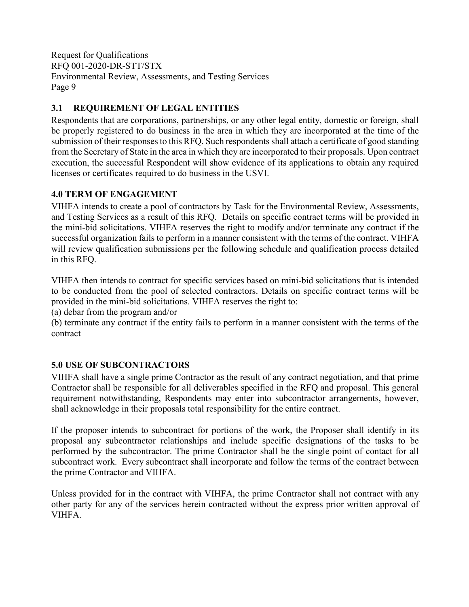## <span id="page-11-0"></span>**3.1 REQUIREMENT OF LEGAL ENTITIES**

Respondents that are corporations, partnerships, or any other legal entity, domestic or foreign, shall be properly registered to do business in the area in which they are incorporated at the time of the submission of their responses to this RFQ. Such respondents shall attach a certificate of good standing from the Secretary of State in the area in which they are incorporated to their proposals. Upon contract execution, the successful Respondent will show evidence of its applications to obtain any required licenses or certificates required to do business in the USVI.

## <span id="page-11-1"></span>**4.0 TERM OF ENGAGEMENT**

VIHFA intends to create a pool of contractors by Task for the Environmental Review, Assessments, and Testing Services as a result of this RFQ. Details on specific contract terms will be provided in the mini-bid solicitations. VIHFA reserves the right to modify and/or terminate any contract if the successful organization fails to perform in a manner consistent with the terms of the contract. VIHFA will review qualification submissions per the following schedule and qualification process detailed in this RFQ.

VIHFA then intends to contract for specific services based on mini-bid solicitations that is intended to be conducted from the pool of selected contractors. Details on specific contract terms will be provided in the mini-bid solicitations. VIHFA reserves the right to:

(a) debar from the program and/or

(b) terminate any contract if the entity fails to perform in a manner consistent with the terms of the contract

## <span id="page-11-2"></span>**5.0 USE OF SUBCONTRACTORS**

VIHFA shall have a single prime Contractor as the result of any contract negotiation, and that prime Contractor shall be responsible for all deliverables specified in the RFQ and proposal. This general requirement notwithstanding, Respondents may enter into subcontractor arrangements, however, shall acknowledge in their proposals total responsibility for the entire contract.

If the proposer intends to subcontract for portions of the work, the Proposer shall identify in its proposal any subcontractor relationships and include specific designations of the tasks to be performed by the subcontractor. The prime Contractor shall be the single point of contact for all subcontract work. Every subcontract shall incorporate and follow the terms of the contract between the prime Contractor and VIHFA.

Unless provided for in the contract with VIHFA, the prime Contractor shall not contract with any other party for any of the services herein contracted without the express prior written approval of VIHFA.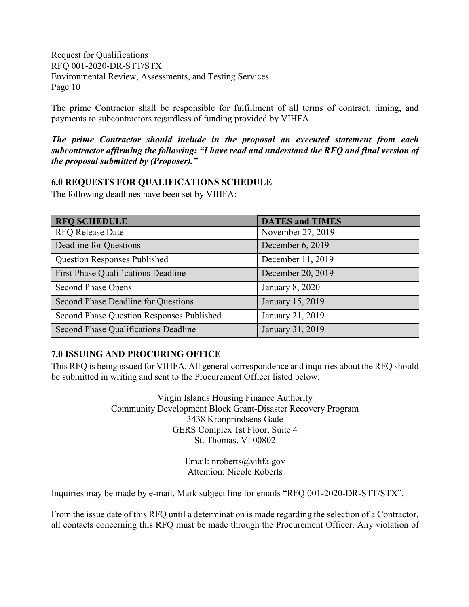The prime Contractor shall be responsible for fulfillment of all terms of contract, timing, and payments to subcontractors regardless of funding provided by VIHFA.

*The prime Contractor should include in the proposal an executed statement from each subcontractor affirming the following: "I have read and understand the RFQ and final version of the proposal submitted by (Proposer)."*

### <span id="page-12-0"></span>**6.0 REQUESTS FOR QUALIFICATIONS SCHEDULE**

The following deadlines have been set by VIHFA:

| <b>RFQ SCHEDULE</b>                        | <b>DATES and TIMES</b> |
|--------------------------------------------|------------------------|
| <b>RFQ Release Date</b>                    | November 27, 2019      |
| Deadline for Questions                     | December 6, 2019       |
| <b>Question Responses Published</b>        | December 11, 2019      |
| <b>First Phase Qualifications Deadline</b> | December 20, 2019      |
| <b>Second Phase Opens</b>                  | January 8, 2020        |
| Second Phase Deadline for Questions        | January 15, 2019       |
| Second Phase Question Responses Published  | January 21, 2019       |
| Second Phase Qualifications Deadline       | January 31, 2019       |

## <span id="page-12-1"></span>**7.0 ISSUING AND PROCURING OFFICE**

This RFQ is being issued for VIHFA. All general correspondence and inquiries about the RFQ should be submitted in writing and sent to the Procurement Officer listed below:

> Virgin Islands Housing Finance Authority Community Development Block Grant-Disaster Recovery Program 3438 Kronprindsens Gade GERS Complex 1st Floor, Suite 4 St. Thomas, VI 00802

> > Email: nroberts@vihfa.gov Attention: Nicole Roberts

Inquiries may be made by e-mail. Mark subject line for emails "RFQ 001-2020-DR-STT/STX".

From the issue date of this RFQ until a determination is made regarding the selection of a Contractor, all contacts concerning this RFQ must be made through the Procurement Officer. Any violation of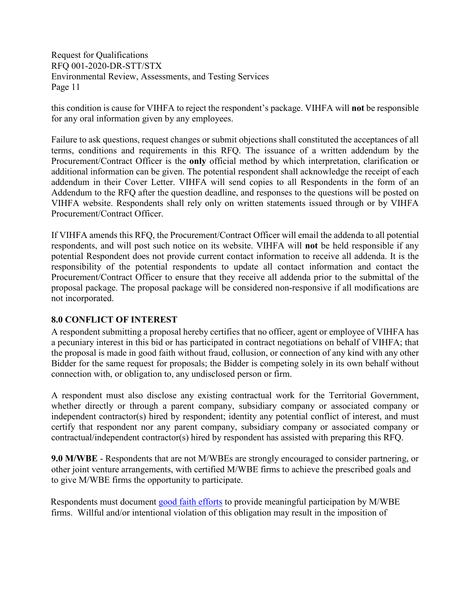this condition is cause for VIHFA to reject the respondent's package. VIHFA will **not** be responsible for any oral information given by any employees.

Failure to ask questions, request changes or submit objections shall constituted the acceptances of all terms, conditions and requirements in this RFQ. The issuance of a written addendum by the Procurement/Contract Officer is the **only** official method by which interpretation, clarification or additional information can be given. The potential respondent shall acknowledge the receipt of each addendum in their Cover Letter. VIHFA will send copies to all Respondents in the form of an Addendum to the RFQ after the question deadline, and responses to the questions will be posted on VIHFA website. Respondents shall rely only on written statements issued through or by VIHFA Procurement/Contract Officer.

If VIHFA amends this RFQ, the Procurement/Contract Officer will email the addenda to all potential respondents, and will post such notice on its website. VIHFA will **not** be held responsible if any potential Respondent does not provide current contact information to receive all addenda. It is the responsibility of the potential respondents to update all contact information and contact the Procurement/Contract Officer to ensure that they receive all addenda prior to the submittal of the proposal package. The proposal package will be considered non-responsive if all modifications are not incorporated.

## <span id="page-13-0"></span>**8.0 CONFLICT OF INTEREST**

A respondent submitting a proposal hereby certifies that no officer, agent or employee of VIHFA has a pecuniary interest in this bid or has participated in contract negotiations on behalf of VIHFA; that the proposal is made in good faith without fraud, collusion, or connection of any kind with any other Bidder for the same request for proposals; the Bidder is competing solely in its own behalf without connection with, or obligation to, any undisclosed person or firm.

A respondent must also disclose any existing contractual work for the Territorial Government, whether directly or through a parent company, subsidiary company or associated company or independent contractor(s) hired by respondent; identity any potential conflict of interest, and must certify that respondent nor any parent company, subsidiary company or associated company or contractual/independent contractor(s) hired by respondent has assisted with preparing this RFQ.

<span id="page-13-1"></span>**9.0 M/WBE** - Respondents that are not M/WBEs are strongly encouraged to consider partnering, or other joint venture arrangements, with certified M/WBE firms to achieve the prescribed goals and to give M/WBE firms the opportunity to participate.

Respondents must document [good faith efforts](http://www.ogs.ny.gov/BU/DC/Docs/PDF/GoodFaithEfforts143Point8.pdf) to provide meaningful participation by M/WBE firms. Willful and/or intentional violation of this obligation may result in the imposition of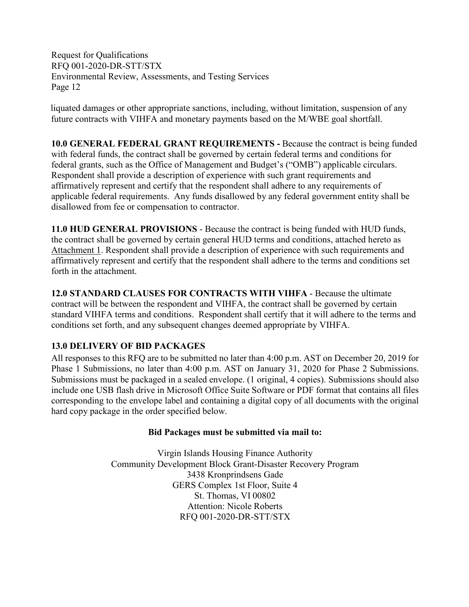liquated damages or other appropriate sanctions, including, without limitation, suspension of any future contracts with VIHFA and monetary payments based on the M/WBE goal shortfall.

<span id="page-14-0"></span>**10.0 GENERAL FEDERAL GRANT REQUIREMENTS -** Because the contract is being funded with federal funds, the contract shall be governed by certain federal terms and conditions for federal grants, such as the Office of Management and Budget's ("OMB") applicable circulars. Respondent shall provide a description of experience with such grant requirements and affirmatively represent and certify that the respondent shall adhere to any requirements of applicable federal requirements. Any funds disallowed by any federal government entity shall be disallowed from fee or compensation to contractor.

<span id="page-14-1"></span>**11.0 HUD GENERAL PROVISIONS** - Because the contract is being funded with HUD funds, the contract shall be governed by certain general HUD terms and conditions, attached hereto as Attachment 1. Respondent shall provide a description of experience with such requirements and affirmatively represent and certify that the respondent shall adhere to the terms and conditions set forth in the attachment.

<span id="page-14-2"></span>**12.0 STANDARD CLAUSES FOR CONTRACTS WITH VIHFA** - Because the ultimate contract will be between the respondent and VIHFA, the contract shall be governed by certain standard VIHFA terms and conditions. Respondent shall certify that it will adhere to the terms and conditions set forth, and any subsequent changes deemed appropriate by VIHFA.

## <span id="page-14-3"></span>**13.0 DELIVERY OF BID PACKAGES**

All responses to this RFQ are to be submitted no later than 4:00 p.m. AST on December 20, 2019 for Phase 1 Submissions, no later than 4:00 p.m. AST on January 31, 2020 for Phase 2 Submissions. Submissions must be packaged in a sealed envelope. (1 original, 4 copies). Submissions should also include one USB flash drive in Microsoft Office Suite Software or PDF format that contains all files corresponding to the envelope label and containing a digital copy of all documents with the original hard copy package in the order specified below.

## **Bid Packages must be submitted via mail to:**

Virgin Islands Housing Finance Authority Community Development Block Grant-Disaster Recovery Program 3438 Kronprindsens Gade GERS Complex 1st Floor, Suite 4 St. Thomas, VI 00802 Attention: Nicole Roberts RFQ 001-2020-DR-STT/STX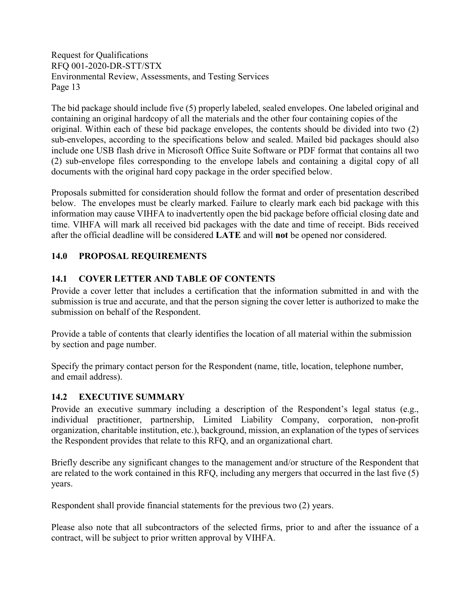The bid package should include five (5) properly labeled, sealed envelopes. One labeled original and containing an original hardcopy of all the materials and the other four containing copies of the original. Within each of these bid package envelopes, the contents should be divided into two (2) sub-envelopes, according to the specifications below and sealed. Mailed bid packages should also include one USB flash drive in Microsoft Office Suite Software or PDF format that contains all two (2) sub-envelope files corresponding to the envelope labels and containing a digital copy of all documents with the original hard copy package in the order specified below.

Proposals submitted for consideration should follow the format and order of presentation described below. The envelopes must be clearly marked. Failure to clearly mark each bid package with this information may cause VIHFA to inadvertently open the bid package before official closing date and time. VIHFA will mark all received bid packages with the date and time of receipt. Bids received after the official deadline will be considered **LATE** and will **not** be opened nor considered.

## <span id="page-15-0"></span>**14.0 PROPOSAL REQUIREMENTS**

## <span id="page-15-1"></span>**14.1 COVER LETTER AND TABLE OF CONTENTS**

Provide a cover letter that includes a certification that the information submitted in and with the submission is true and accurate, and that the person signing the cover letter is authorized to make the submission on behalf of the Respondent.

Provide a table of contents that clearly identifies the location of all material within the submission by section and page number.

Specify the primary contact person for the Respondent (name, title, location, telephone number, and email address).

## <span id="page-15-2"></span>**14.2 EXECUTIVE SUMMARY**

Provide an executive summary including a description of the Respondent's legal status (e.g., individual practitioner, partnership, Limited Liability Company, corporation, non-profit organization, charitable institution, etc.), background, mission, an explanation of the types of services the Respondent provides that relate to this RFQ, and an organizational chart.

Briefly describe any significant changes to the management and/or structure of the Respondent that are related to the work contained in this RFQ, including any mergers that occurred in the last five (5) years.

Respondent shall provide financial statements for the previous two (2) years.

Please also note that all subcontractors of the selected firms, prior to and after the issuance of a contract, will be subject to prior written approval by VIHFA.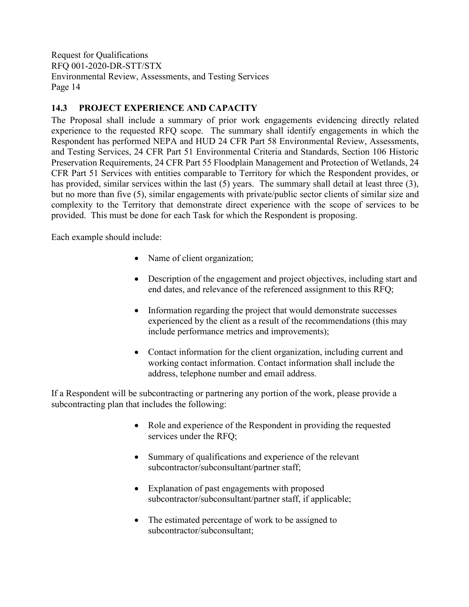## <span id="page-16-0"></span>**14.3 PROJECT EXPERIENCE AND CAPACITY**

The Proposal shall include a summary of prior work engagements evidencing directly related experience to the requested RFQ scope. The summary shall identify engagements in which the Respondent has performed NEPA and HUD 24 CFR Part 58 Environmental Review, Assessments, and Testing Services, 24 CFR Part 51 Environmental Criteria and Standards, Section 106 Historic Preservation Requirements, 24 CFR Part 55 Floodplain Management and Protection of Wetlands, 24 CFR Part 51 Services with entities comparable to Territory for which the Respondent provides, or has provided, similar services within the last (5) years. The summary shall detail at least three (3), but no more than five (5), similar engagements with private/public sector clients of similar size and complexity to the Territory that demonstrate direct experience with the scope of services to be provided. This must be done for each Task for which the Respondent is proposing.

Each example should include:

- Name of client organization;
- Description of the engagement and project objectives, including start and end dates, and relevance of the referenced assignment to this RFQ;
- Information regarding the project that would demonstrate successes experienced by the client as a result of the recommendations (this may include performance metrics and improvements);
- Contact information for the client organization, including current and working contact information. Contact information shall include the address, telephone number and email address.

If a Respondent will be subcontracting or partnering any portion of the work, please provide a subcontracting plan that includes the following:

- Role and experience of the Respondent in providing the requested services under the RFQ;
- Summary of qualifications and experience of the relevant subcontractor/subconsultant/partner staff;
- Explanation of past engagements with proposed subcontractor/subconsultant/partner staff, if applicable;
- The estimated percentage of work to be assigned to subcontractor/subconsultant;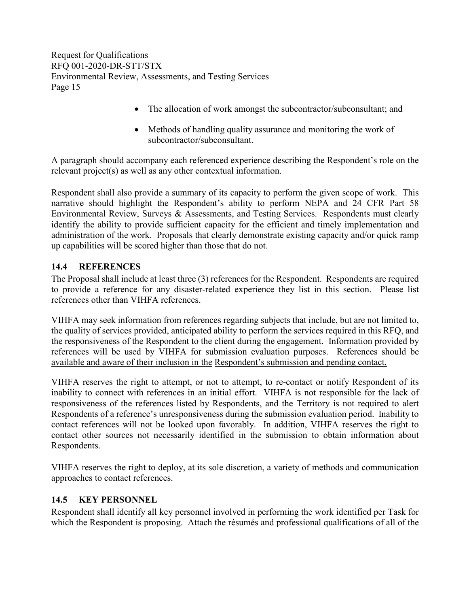- The allocation of work amongst the subcontractor/subconsultant; and
- Methods of handling quality assurance and monitoring the work of subcontractor/subconsultant.

A paragraph should accompany each referenced experience describing the Respondent's role on the relevant project(s) as well as any other contextual information.

Respondent shall also provide a summary of its capacity to perform the given scope of work. This narrative should highlight the Respondent's ability to perform NEPA and 24 CFR Part 58 Environmental Review, Surveys & Assessments, and Testing Services. Respondents must clearly identify the ability to provide sufficient capacity for the efficient and timely implementation and administration of the work. Proposals that clearly demonstrate existing capacity and/or quick ramp up capabilities will be scored higher than those that do not.

## <span id="page-17-0"></span>**14.4 REFERENCES**

The Proposal shall include at least three (3) references for the Respondent. Respondents are required to provide a reference for any disaster-related experience they list in this section. Please list references other than VIHFA references.

VIHFA may seek information from references regarding subjects that include, but are not limited to, the quality of services provided, anticipated ability to perform the services required in this RFQ, and the responsiveness of the Respondent to the client during the engagement. Information provided by references will be used by VIHFA for submission evaluation purposes. References should be available and aware of their inclusion in the Respondent's submission and pending contact.

VIHFA reserves the right to attempt, or not to attempt, to re-contact or notify Respondent of its inability to connect with references in an initial effort. VIHFA is not responsible for the lack of responsiveness of the references listed by Respondents, and the Territory is not required to alert Respondents of a reference's unresponsiveness during the submission evaluation period. Inability to contact references will not be looked upon favorably. In addition, VIHFA reserves the right to contact other sources not necessarily identified in the submission to obtain information about Respondents.

VIHFA reserves the right to deploy, at its sole discretion, a variety of methods and communication approaches to contact references.

## <span id="page-17-1"></span>**14.5 KEY PERSONNEL**

Respondent shall identify all key personnel involved in performing the work identified per Task for which the Respondent is proposing.Attach the résumés and professional qualifications of all of the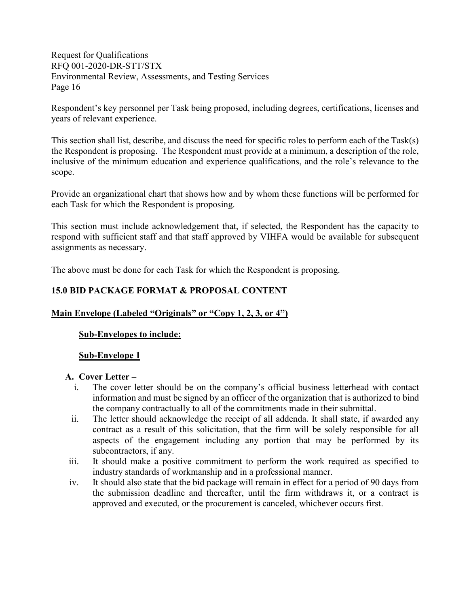Respondent's key personnel per Task being proposed, including degrees, certifications, licenses and years of relevant experience.

This section shall list, describe, and discuss the need for specific roles to perform each of the Task(s) the Respondent is proposing. The Respondent must provide at a minimum, a description of the role, inclusive of the minimum education and experience qualifications, and the role's relevance to the scope.

Provide an organizational chart that shows how and by whom these functions will be performed for each Task for which the Respondent is proposing.

This section must include acknowledgement that, if selected, the Respondent has the capacity to respond with sufficient staff and that staff approved by VIHFA would be available for subsequent assignments as necessary.

The above must be done for each Task for which the Respondent is proposing.

## <span id="page-18-0"></span>**15.0 BID PACKAGE FORMAT & PROPOSAL CONTENT**

## **Main Envelope (Labeled "Originals" or "Copy 1, 2, 3, or 4")**

#### **Sub-Envelopes to include:**

#### **Sub-Envelope 1**

#### **A. Cover Letter –**

- i. The cover letter should be on the company's official business letterhead with contact information and must be signed by an officer of the organization that is authorized to bind the company contractually to all of the commitments made in their submittal.
- ii. The letter should acknowledge the receipt of all addenda. It shall state, if awarded any contract as a result of this solicitation, that the firm will be solely responsible for all aspects of the engagement including any portion that may be performed by its subcontractors, if any.
- iii. It should make a positive commitment to perform the work required as specified to industry standards of workmanship and in a professional manner.
- iv. It should also state that the bid package will remain in effect for a period of 90 days from the submission deadline and thereafter, until the firm withdraws it, or a contract is approved and executed, or the procurement is canceled, whichever occurs first.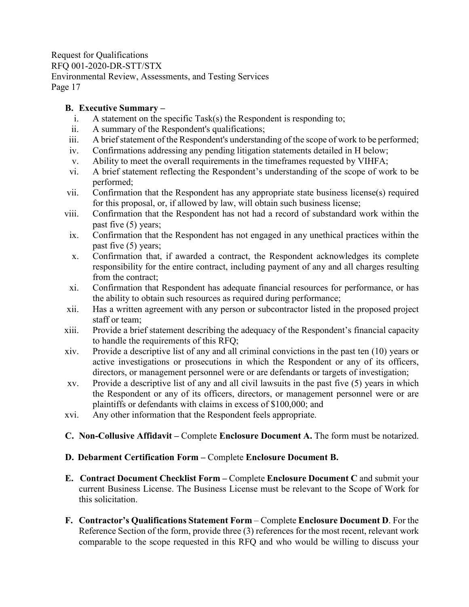### **B. Executive Summary –**

- i. A statement on the specific Task(s) the Respondent is responding to;
- ii. A summary of the Respondent's qualifications;
- iii. A brief statement of the Respondent's understanding of the scope of work to be performed;
- iv. Confirmations addressing any pending litigation statements detailed in H below;
- v. Ability to meet the overall requirements in the timeframes requested by VIHFA;
- vi. A brief statement reflecting the Respondent's understanding of the scope of work to be performed;
- vii. Confirmation that the Respondent has any appropriate state business license(s) required for this proposal, or, if allowed by law, will obtain such business license;
- viii. Confirmation that the Respondent has not had a record of substandard work within the past five (5) years;
	- ix. Confirmation that the Respondent has not engaged in any unethical practices within the past five (5) years;
	- x. Confirmation that, if awarded a contract, the Respondent acknowledges its complete responsibility for the entire contract, including payment of any and all charges resulting from the contract;
- xi. Confirmation that Respondent has adequate financial resources for performance, or has the ability to obtain such resources as required during performance;
- xii. Has a written agreement with any person or subcontractor listed in the proposed project staff or team;
- xiii. Provide a brief statement describing the adequacy of the Respondent's financial capacity to handle the requirements of this RFQ;
- xiv. Provide a descriptive list of any and all criminal convictions in the past ten (10) years or active investigations or prosecutions in which the Respondent or any of its officers, directors, or management personnel were or are defendants or targets of investigation;
- xv. Provide a descriptive list of any and all civil lawsuits in the past five (5) years in which the Respondent or any of its officers, directors, or management personnel were or are plaintiffs or defendants with claims in excess of \$100,000; and
- xvi. Any other information that the Respondent feels appropriate.

## **C. Non-Collusive Affidavit –** Complete **Enclosure Document A.** The form must be notarized.

## **D. Debarment Certification Form –** Complete **Enclosure Document B.**

- **E. Contract Document Checklist Form –** Complete **Enclosure Document C** and submit your current Business License. The Business License must be relevant to the Scope of Work for this solicitation.
- **F. Contractor's Qualifications Statement Form** Complete **Enclosure Document D**. For the Reference Section of the form, provide three (3) references for the most recent, relevant work comparable to the scope requested in this RFQ and who would be willing to discuss your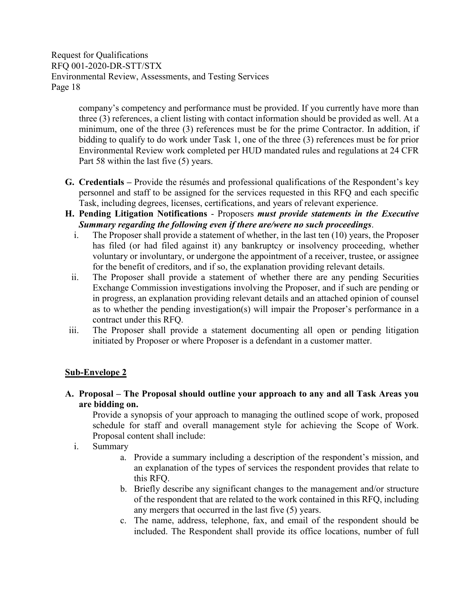> company's competency and performance must be provided. If you currently have more than three (3) references, a client listing with contact information should be provided as well. At a minimum, one of the three (3) references must be for the prime Contractor. In addition, if bidding to qualify to do work under Task 1, one of the three (3) references must be for prior Environmental Review work completed per HUD mandated rules and regulations at 24 CFR Part 58 within the last five (5) years.

- **G. Credentials –** Provide the résumés and professional qualifications of the Respondent's key personnel and staff to be assigned for the services requested in this RFQ and each specific Task, including degrees, licenses, certifications, and years of relevant experience.
- **H. Pending Litigation Notifications** Proposers *must provide statements in the Executive Summary regarding the following even if there are/were no such proceedings*.
	- i. The Proposer shall provide a statement of whether, in the last ten (10) years, the Proposer has filed (or had filed against it) any bankruptcy or insolvency proceeding, whether voluntary or involuntary, or undergone the appointment of a receiver, trustee, or assignee for the benefit of creditors, and if so, the explanation providing relevant details.
	- ii. The Proposer shall provide a statement of whether there are any pending Securities Exchange Commission investigations involving the Proposer, and if such are pending or in progress, an explanation providing relevant details and an attached opinion of counsel as to whether the pending investigation(s) will impair the Proposer's performance in a contract under this RFQ.
- iii. The Proposer shall provide a statement documenting all open or pending litigation initiated by Proposer or where Proposer is a defendant in a customer matter.

## **Sub-Envelope 2**

**A. Proposal – The Proposal should outline your approach to any and all Task Areas you are bidding on.** 

Provide a synopsis of your approach to managing the outlined scope of work, proposed schedule for staff and overall management style for achieving the Scope of Work. Proposal content shall include:

- i. Summary
	- a. Provide a summary including a description of the respondent's mission, and an explanation of the types of services the respondent provides that relate to this RFQ.
	- b. Briefly describe any significant changes to the management and/or structure of the respondent that are related to the work contained in this RFQ, including any mergers that occurred in the last five (5) years.
	- c. The name, address, telephone, fax, and email of the respondent should be included. The Respondent shall provide its office locations, number of full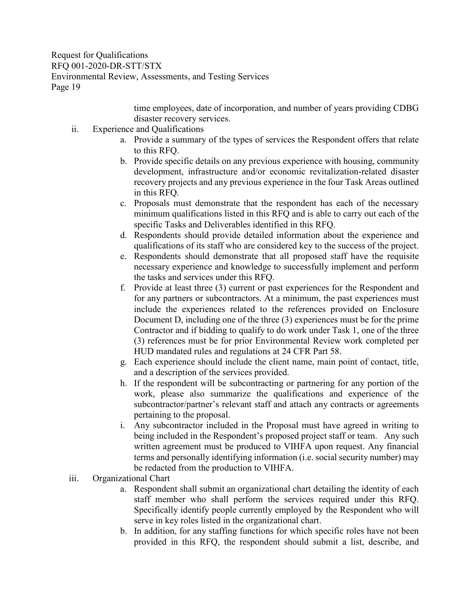> time employees, date of incorporation, and number of years providing CDBG disaster recovery services.

- ii. Experience and Qualifications
	- a. Provide a summary of the types of services the Respondent offers that relate to this RFQ.
	- b. Provide specific details on any previous experience with housing, community development, infrastructure and/or economic revitalization-related disaster recovery projects and any previous experience in the four Task Areas outlined in this RFQ.
	- c. Proposals must demonstrate that the respondent has each of the necessary minimum qualifications listed in this RFQ and is able to carry out each of the specific Tasks and Deliverables identified in this RFQ.
	- d. Respondents should provide detailed information about the experience and qualifications of its staff who are considered key to the success of the project.
	- e. Respondents should demonstrate that all proposed staff have the requisite necessary experience and knowledge to successfully implement and perform the tasks and services under this RFQ.
	- f. Provide at least three (3) current or past experiences for the Respondent and for any partners or subcontractors. At a minimum, the past experiences must include the experiences related to the references provided on Enclosure Document D, including one of the three (3) experiences must be for the prime Contractor and if bidding to qualify to do work under Task 1, one of the three (3) references must be for prior Environmental Review work completed per HUD mandated rules and regulations at 24 CFR Part 58.
	- g. Each experience should include the client name, main point of contact, title, and a description of the services provided.
	- h. If the respondent will be subcontracting or partnering for any portion of the work, please also summarize the qualifications and experience of the subcontractor/partner's relevant staff and attach any contracts or agreements pertaining to the proposal.
	- i. Any subcontractor included in the Proposal must have agreed in writing to being included in the Respondent's proposed project staff or team. Any such written agreement must be produced to VIHFA upon request. Any financial terms and personally identifying information (i.e. social security number) may be redacted from the production to VIHFA.
- iii. Organizational Chart
	- a. Respondent shall submit an organizational chart detailing the identity of each staff member who shall perform the services required under this RFQ. Specifically identify people currently employed by the Respondent who will serve in key roles listed in the organizational chart.
	- b. In addition, for any staffing functions for which specific roles have not been provided in this RFQ, the respondent should submit a list, describe, and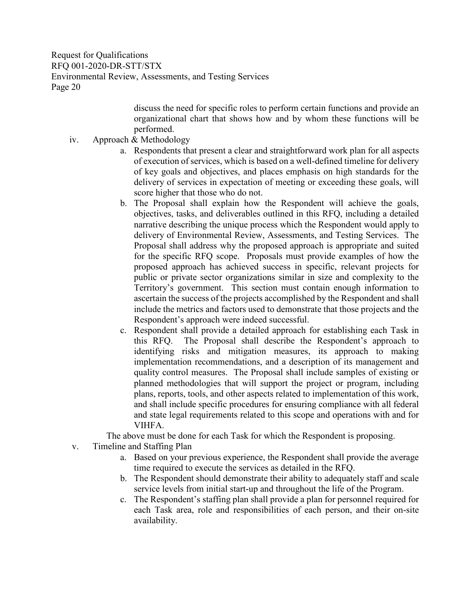> discuss the need for specific roles to perform certain functions and provide an organizational chart that shows how and by whom these functions will be performed.

- iv. Approach & Methodology
	- a. Respondents that present a clear and straightforward work plan for all aspects of execution of services, which is based on a well-defined timeline for delivery of key goals and objectives, and places emphasis on high standards for the delivery of services in expectation of meeting or exceeding these goals, will score higher that those who do not.
	- b. The Proposal shall explain how the Respondent will achieve the goals, objectives, tasks, and deliverables outlined in this RFQ, including a detailed narrative describing the unique process which the Respondent would apply to delivery of Environmental Review, Assessments, and Testing Services. The Proposal shall address why the proposed approach is appropriate and suited for the specific RFQ scope. Proposals must provide examples of how the proposed approach has achieved success in specific, relevant projects for public or private sector organizations similar in size and complexity to the Territory's government. This section must contain enough information to ascertain the success of the projects accomplished by the Respondent and shall include the metrics and factors used to demonstrate that those projects and the Respondent's approach were indeed successful.
	- c. Respondent shall provide a detailed approach for establishing each Task in this RFQ. The Proposal shall describe the Respondent's approach to identifying risks and mitigation measures, its approach to making implementation recommendations, and a description of its management and quality control measures. The Proposal shall include samples of existing or planned methodologies that will support the project or program, including plans, reports, tools, and other aspects related to implementation of this work, and shall include specific procedures for ensuring compliance with all federal and state legal requirements related to this scope and operations with and for VIHFA.

The above must be done for each Task for which the Respondent is proposing.

- v. Timeline and Staffing Plan
	- a. Based on your previous experience, the Respondent shall provide the average time required to execute the services as detailed in the RFQ.
	- b. The Respondent should demonstrate their ability to adequately staff and scale service levels from initial start-up and throughout the life of the Program.
	- c. The Respondent's staffing plan shall provide a plan for personnel required for each Task area, role and responsibilities of each person, and their on-site availability.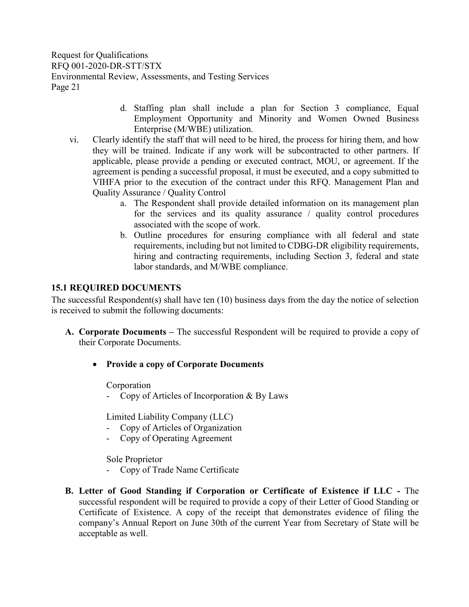- d. Staffing plan shall include a plan for Section 3 compliance, Equal Employment Opportunity and Minority and Women Owned Business Enterprise (M/WBE) utilization.
- vi. Clearly identify the staff that will need to be hired, the process for hiring them, and how they will be trained. Indicate if any work will be subcontracted to other partners. If applicable, please provide a pending or executed contract, MOU, or agreement. If the agreement is pending a successful proposal, it must be executed, and a copy submitted to VIHFA prior to the execution of the contract under this RFQ. Management Plan and Quality Assurance / Quality Control
	- a. The Respondent shall provide detailed information on its management plan for the services and its quality assurance / quality control procedures associated with the scope of work.
	- b. Outline procedures for ensuring compliance with all federal and state requirements, including but not limited to CDBG-DR eligibility requirements, hiring and contracting requirements, including Section 3, federal and state labor standards, and M/WBE compliance.

## <span id="page-23-0"></span>**15.1 REQUIRED DOCUMENTS**

The successful Respondent(s) shall have ten (10) business days from the day the notice of selection is received to submit the following documents:

- **A. Corporate Documents –** The successful Respondent will be required to provide a copy of their Corporate Documents.
	- **Provide a copy of Corporate Documents**

Corporation

- Copy of Articles of Incorporation & By Laws

Limited Liability Company (LLC)

- Copy of Articles of Organization
- Copy of Operating Agreement

Sole Proprietor

- Copy of Trade Name Certificate
- **B. Letter of Good Standing if Corporation or Certificate of Existence if LLC -** The successful respondent will be required to provide a copy of their Letter of Good Standing or Certificate of Existence. A copy of the receipt that demonstrates evidence of filing the company's Annual Report on June 30th of the current Year from Secretary of State will be acceptable as well.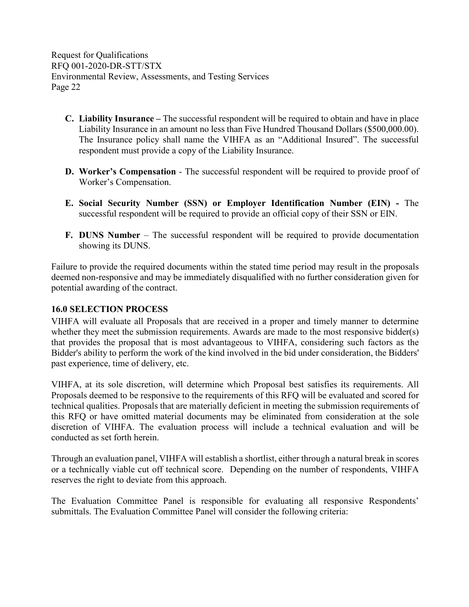- **C. Liability Insurance –** The successful respondent will be required to obtain and have in place Liability Insurance in an amount no less than Five Hundred Thousand Dollars (\$500,000.00). The Insurance policy shall name the VIHFA as an "Additional Insured". The successful respondent must provide a copy of the Liability Insurance.
- **D. Worker's Compensation** The successful respondent will be required to provide proof of Worker's Compensation.
- **E. Social Security Number (SSN) or Employer Identification Number (EIN) -** The successful respondent will be required to provide an official copy of their SSN or EIN.
- **F. DUNS Number** The successful respondent will be required to provide documentation showing its DUNS.

Failure to provide the required documents within the stated time period may result in the proposals deemed non-responsive and may be immediately disqualified with no further consideration given for potential awarding of the contract.

## <span id="page-24-0"></span>**16.0 SELECTION PROCESS**

VIHFA will evaluate all Proposals that are received in a proper and timely manner to determine whether they meet the submission requirements. Awards are made to the most responsive bidder(s) that provides the proposal that is most advantageous to VIHFA, considering such factors as the Bidder's ability to perform the work of the kind involved in the bid under consideration, the Bidders' past experience, time of delivery, etc.

VIHFA, at its sole discretion, will determine which Proposal best satisfies its requirements. All Proposals deemed to be responsive to the requirements of this RFQ will be evaluated and scored for technical qualities. Proposals that are materially deficient in meeting the submission requirements of this RFQ or have omitted material documents may be eliminated from consideration at the sole discretion of VIHFA. The evaluation process will include a technical evaluation and will be conducted as set forth herein.

Through an evaluation panel, VIHFA will establish a shortlist, either through a natural break in scores or a technically viable cut off technical score. Depending on the number of respondents, VIHFA reserves the right to deviate from this approach.

The Evaluation Committee Panel is responsible for evaluating all responsive Respondents' submittals. The Evaluation Committee Panel will consider the following criteria: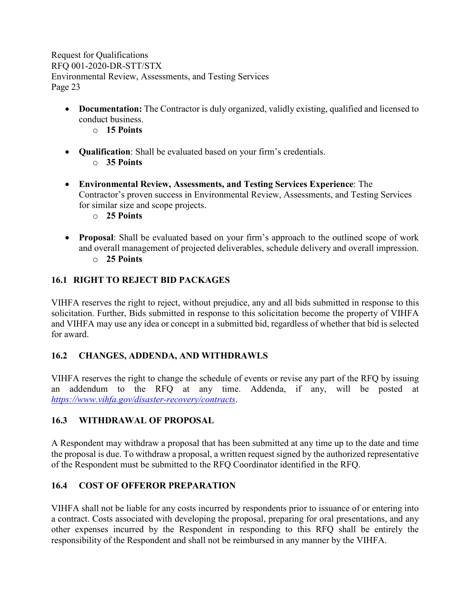- **Documentation:** The Contractor is duly organized, validly existing, qualified and licensed to conduct business.
	- o **15 Points**
- **Qualification**: Shall be evaluated based on your firm's credentials. o **35 Points**
- **Environmental Review, Assessments, and Testing Services Experience**: The Contractor's proven success in Environmental Review, Assessments, and Testing Services for similar size and scope projects.
	- o **25 Points**
- **Proposal**: Shall be evaluated based on your firm's approach to the outlined scope of work and overall management of projected deliverables, schedule delivery and overall impression. o **25 Points**

## <span id="page-25-0"></span>**16.1 RIGHT TO REJECT BID PACKAGES**

VIHFA reserves the right to reject, without prejudice, any and all bids submitted in response to this solicitation. Further, Bids submitted in response to this solicitation become the property of VIHFA and VIHFA may use any idea or concept in a submitted bid, regardless of whether that bid is selected for award.

## <span id="page-25-1"></span>**16.2 CHANGES, ADDENDA, AND WITHDRAWLS**

VIHFA reserves the right to change the schedule of events or revise any part of the RFQ by issuing an addendum to the RFQ at any time. Addenda, if any, will be posted at *<https://www.vihfa.gov/disaster-recovery/contracts>*.

## <span id="page-25-2"></span>**16.3 WITHDRAWAL OF PROPOSAL**

A Respondent may withdraw a proposal that has been submitted at any time up to the date and time the proposal is due. To withdraw a proposal, a written request signed by the authorized representative of the Respondent must be submitted to the RFQ Coordinator identified in the RFQ.

## <span id="page-25-3"></span>**16.4 COST OF OFFEROR PREPARATION**

VIHFA shall not be liable for any costs incurred by respondents prior to issuance of or entering into a contract. Costs associated with developing the proposal, preparing for oral presentations, and any other expenses incurred by the Respondent in responding to this RFQ shall be entirely the responsibility of the Respondent and shall not be reimbursed in any manner by the VIHFA.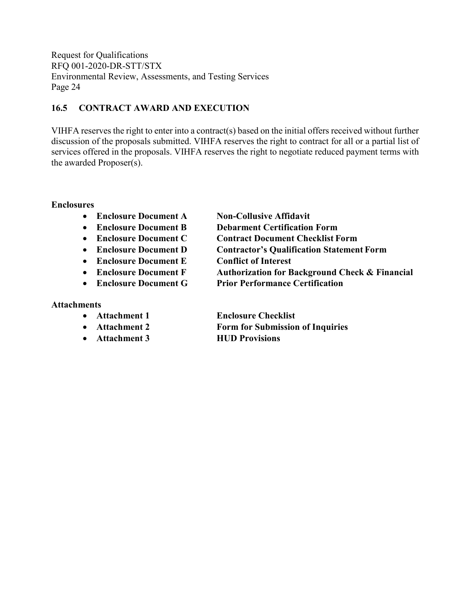## <span id="page-26-0"></span>**16.5 CONTRACT AWARD AND EXECUTION**

VIHFA reserves the right to enter into a contract(s) based on the initial offers received without further discussion of the proposals submitted. VIHFA reserves the right to contract for all or a partial list of services offered in the proposals. VIHFA reserves the right to negotiate reduced payment terms with the awarded Proposer(s).

### **Enclosures**

- **Enclosure Document A Non-Collusive Affidavit**
- 
- 
- 
- **Enclosure Document E Conflict of Interest**
- 
- 

#### **Attachments**

- 
- 
- **Attachment 3 HUD Provisions**
- **Enclosure Document B Debarment Certification Form**
- **Enclosure Document C Contract Document Checklist Form**
- **Enclosure Document D Contractor's Qualification Statement Form**
	-
- **Enclosure Document F Authorization for Background Check & Financial**
- **Enclosure Document G Prior Performance Certification**

• **Attachment 1 Enclosure Checklist** • **Attachment 2 Form for Submission of Inquiries**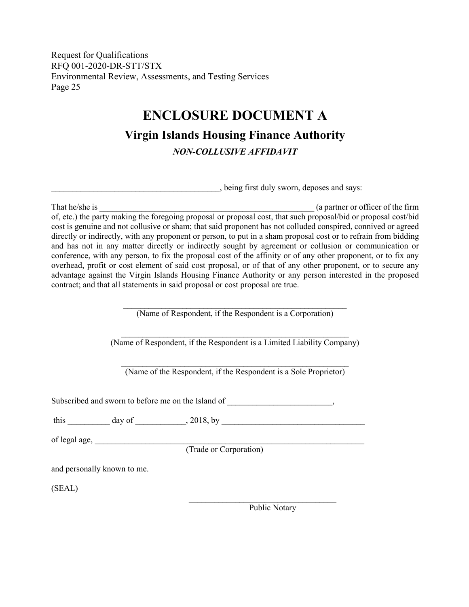## **ENCLOSURE DOCUMENT A**

**Virgin Islands Housing Finance Authority**

*NON-COLLUSIVE AFFIDAVIT*

\_\_\_\_\_\_\_\_\_\_\_\_\_\_\_\_\_\_\_\_\_\_\_\_\_\_\_\_\_\_\_\_\_\_\_\_\_\_\_\_, being first duly sworn, deposes and says:

<span id="page-27-0"></span>That he/she is  $\qquad \qquad$  (a partner or officer of the firm of, etc.) the party making the foregoing proposal or proposal cost, that such proposal/bid or proposal cost/bid cost is genuine and not collusive or sham; that said proponent has not colluded conspired, connived or agreed directly or indirectly, with any proponent or person, to put in a sham proposal cost or to refrain from bidding and has not in any matter directly or indirectly sought by agreement or collusion or communication or conference, with any person, to fix the proposal cost of the affinity or of any other proponent, or to fix any overhead, profit or cost element of said cost proposal, or of that of any other proponent, or to secure any advantage against the Virgin Islands Housing Finance Authority or any person interested in the proposed contract; and that all statements in said proposal or cost proposal are true.

> \_\_\_\_\_\_\_\_\_\_\_\_\_\_\_\_\_\_\_\_\_\_\_\_\_\_\_\_\_\_\_\_\_\_\_\_\_\_\_\_\_\_\_\_\_\_\_\_\_\_\_\_\_ (Name of Respondent, if the Respondent is a Corporation)

 $\_$  , and the set of the set of the set of the set of the set of the set of the set of the set of the set of the set of the set of the set of the set of the set of the set of the set of the set of the set of the set of th (Name of Respondent, if the Respondent is a Limited Liability Company)

 $\_$  , and the set of the set of the set of the set of the set of the set of the set of the set of the set of the set of the set of the set of the set of the set of the set of the set of the set of the set of the set of th (Name of the Respondent, if the Respondent is a Sole Proprietor)

Subscribed and sworn to before me on the Island of  $\cdot$ 

this day of  $\frac{1}{2}$ , 2018, by  $\frac{1}{2}$ 

of legal age,  $\frac{1}{2}$  and  $\frac{1}{2}$  and  $\frac{1}{2}$  and  $\frac{1}{2}$  and  $\frac{1}{2}$  and  $\frac{1}{2}$  and  $\frac{1}{2}$  and  $\frac{1}{2}$  and  $\frac{1}{2}$  and  $\frac{1}{2}$  and  $\frac{1}{2}$  and  $\frac{1}{2}$  and  $\frac{1}{2}$  and  $\frac{1}{2}$  and  $\frac{1}{2}$  a

(Trade or Corporation)

and personally known to me.

(SEAL)

Public Notary

 $\mathcal{L}_\text{max}$  , and the set of the set of the set of the set of the set of the set of the set of the set of the set of the set of the set of the set of the set of the set of the set of the set of the set of the set of the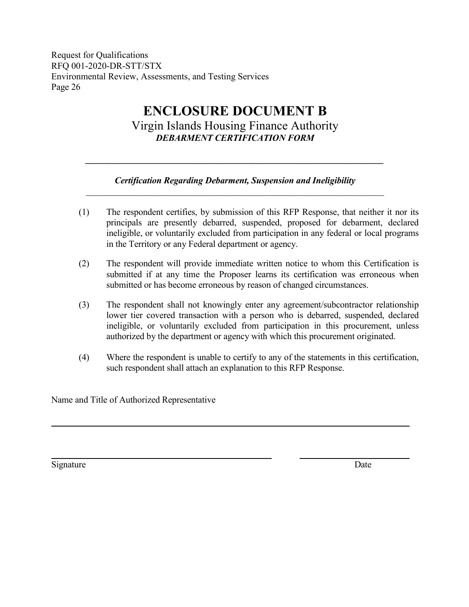# **ENCLOSURE DOCUMENT B**

Virgin Islands Housing Finance Authority *DEBARMENT CERTIFICATION FORM*

## *Certification Regarding Debarment, Suspension and Ineligibility \_\_\_\_\_\_\_\_\_\_\_\_\_\_\_\_\_\_\_\_\_\_\_\_\_\_\_\_\_\_\_\_\_\_\_\_\_\_\_\_\_\_\_\_\_\_\_\_\_\_\_\_\_\_\_\_\_\_\_\_\_\_\_\_\_\_*

<span id="page-28-0"></span>*\_\_\_\_\_\_\_\_\_\_\_\_\_\_\_\_\_\_\_\_\_\_\_\_\_\_\_\_\_\_\_\_\_\_\_\_\_\_\_\_\_\_\_\_\_\_\_\_\_\_\_\_\_\_\_\_\_\_\_\_\_\_\_\_\_\_*

- (1) The respondent certifies, by submission of this RFP Response, that neither it nor its principals are presently debarred, suspended, proposed for debarment, declared ineligible, or voluntarily excluded from participation in any federal or local programs in the Territory or any Federal department or agency.
- (2) The respondent will provide immediate written notice to whom this Certification is submitted if at any time the Proposer learns its certification was erroneous when submitted or has become erroneous by reason of changed circumstances.
- (3) The respondent shall not knowingly enter any agreement/subcontractor relationship lower tier covered transaction with a person who is debarred, suspended, declared ineligible, or voluntarily excluded from participation in this procurement, unless authorized by the department or agency with which this procurement originated.
- (4) Where the respondent is unable to certify to any of the statements in this certification, such respondent shall attach an explanation to this RFP Response.

Name and Title of Authorized Representative

Signature Date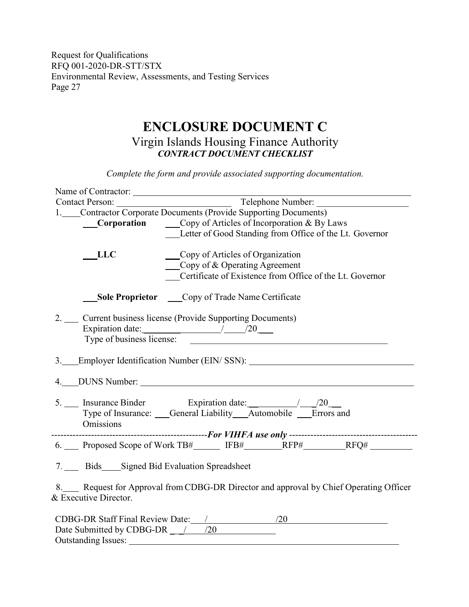## **ENCLOSURE DOCUMENT C** Virgin Islands Housing Finance Authority *CONTRACT DOCUMENT CHECKLIST*

<span id="page-29-0"></span>Name of Contractor: Contact Person: \_\_\_\_\_\_\_\_\_\_\_\_\_\_\_\_\_\_\_\_\_\_\_\_\_ Telephone Number: \_\_\_\_\_\_\_\_\_\_\_\_\_\_\_\_\_\_\_\_ 1. Contractor Corporate Documents (Provide Supporting Documents) **Corporation** Copy of Articles of Incorporation & By Laws Letter of Good Standing from Office of the Lt. Governor LLC Copy of Articles of Organization Copy of & Operating Agreement Certificate of Existence from Office of the Lt. Governor **Sole Proprietor** Copy of Trade Name Certificate 2. Current business license (Provide Supporting Documents) Expiration date: \_\_\_\_\_\_\_\_ / /20 \_\_\_ Type of business licenses:  $\overline{a}$  business licenses:  $\overline{a}$  business licenses:  $\overline{a}$ 3. Employer Identification Number (EIN/ SSN): 4. DUNS Number: 5. Insurance Binder Expiration date: 1.1.1.1.20 Type of Insurance: General Liability Automobile Errors and Omissions ---------------------------------------------------*For VIHFA use only* ------------------------------------------ 6. Proposed Scope of Work TB# IFB# RFP# RFQ# 7. Bids Signed Bid Evaluation Spreadsheet 8. Request for Approval from CDBG-DR Director and approval by Chief Operating Officer & Executive Director. CDBG-DR Staff Final Review Date: / /20 /20 Date Submitted by CDBG-DR  $\frac{1}{20}$ Outstanding Issues:

*Complete the form and provide associated supporting documentation.*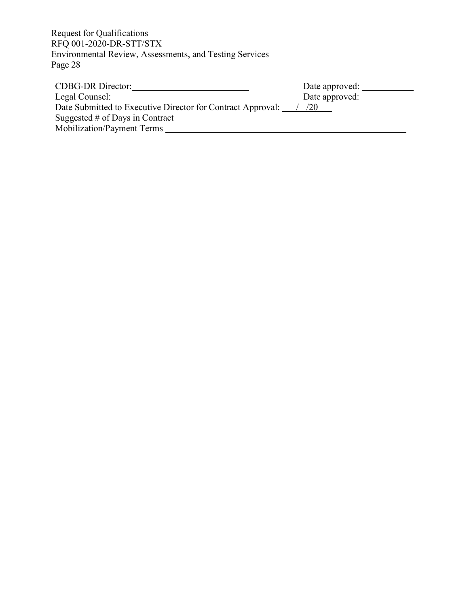| <b>CDBG-DR</b> Director:                                    | Date approved: |
|-------------------------------------------------------------|----------------|
| Legal Counsel:                                              | Date approved: |
| Date Submitted to Executive Director for Contract Approval: | (1/20)         |
| Suggested $#$ of Days in Contract                           |                |
| Mobilization/Payment Terms                                  |                |
|                                                             |                |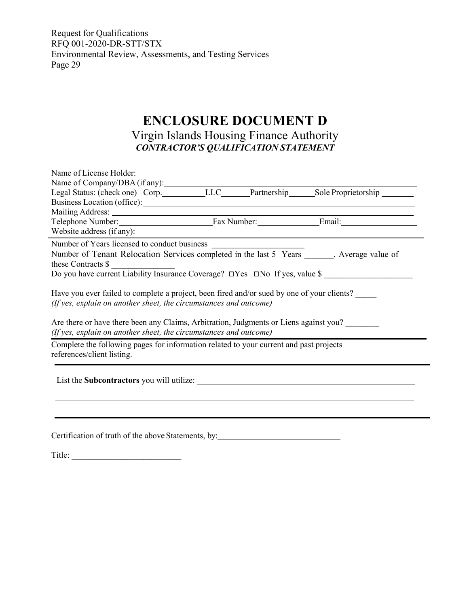## **ENCLOSURE DOCUMENT D**

## Virgin Islands Housing Finance Authority *CONTRACTOR'S QUALIFICATION STATEMENT*

| Name of Company/DBA (if any):<br>Legal Status: (check one) Corp.__________LLC_______Partnership______Sole Proprietorship __________                        |  |  |  |  |
|------------------------------------------------------------------------------------------------------------------------------------------------------------|--|--|--|--|
|                                                                                                                                                            |  |  |  |  |
|                                                                                                                                                            |  |  |  |  |
|                                                                                                                                                            |  |  |  |  |
| Website address (if any):                                                                                                                                  |  |  |  |  |
|                                                                                                                                                            |  |  |  |  |
| Number of Tenant Relocation Services completed in the last 5 Years , Average value of                                                                      |  |  |  |  |
| these Contracts $\frac{1}{2}$                                                                                                                              |  |  |  |  |
| Do you have current Liability Insurance Coverage? $\Box$ Yes $\Box$ No If yes, value \$                                                                    |  |  |  |  |
| Are there or have there been any Claims, Arbitration, Judgments or Liens against you?<br>(If yes, explain on another sheet, the circumstances and outcome) |  |  |  |  |
| Complete the following pages for information related to your current and past projects<br>references/client listing.                                       |  |  |  |  |
| List the Subcontractors you will utilize:                                                                                                                  |  |  |  |  |
|                                                                                                                                                            |  |  |  |  |
| Certification of truth of the above Statements, by:                                                                                                        |  |  |  |  |

Title: \_\_\_\_\_\_\_\_\_\_\_\_\_\_\_\_\_\_\_\_\_\_\_\_\_\_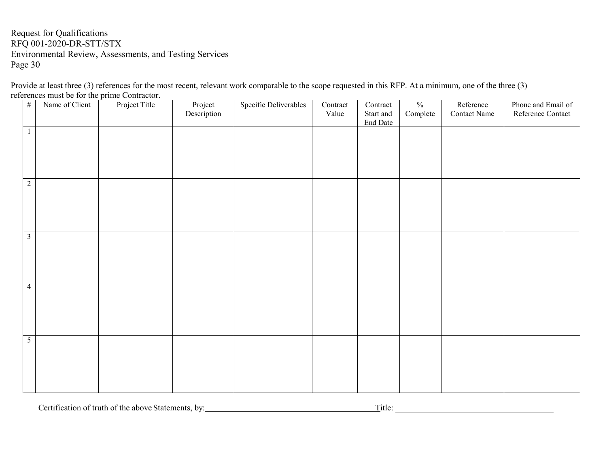Provide at least three (3) references for the most recent, relevant work comparable to the scope requested in this RFP. At a minimum, one of the three (3) references must be for the prime Contractor.

| $\#$            | Name of Client | Project Title | Project<br>Description | Specific Deliverables | Contract | Contract  | $\frac{0}{0}$ | Reference           | Phone and Email of |
|-----------------|----------------|---------------|------------------------|-----------------------|----------|-----------|---------------|---------------------|--------------------|
|                 |                |               |                        |                       | Value    | Start and | Complete      | <b>Contact Name</b> | Reference Contact  |
|                 |                |               |                        |                       |          | End Date  |               |                     |                    |
| $\mathbf{1}$    |                |               |                        |                       |          |           |               |                     |                    |
|                 |                |               |                        |                       |          |           |               |                     |                    |
|                 |                |               |                        |                       |          |           |               |                     |                    |
|                 |                |               |                        |                       |          |           |               |                     |                    |
|                 |                |               |                        |                       |          |           |               |                     |                    |
| $2\,$           |                |               |                        |                       |          |           |               |                     |                    |
|                 |                |               |                        |                       |          |           |               |                     |                    |
|                 |                |               |                        |                       |          |           |               |                     |                    |
|                 |                |               |                        |                       |          |           |               |                     |                    |
|                 |                |               |                        |                       |          |           |               |                     |                    |
| $\overline{3}$  |                |               |                        |                       |          |           |               |                     |                    |
|                 |                |               |                        |                       |          |           |               |                     |                    |
|                 |                |               |                        |                       |          |           |               |                     |                    |
|                 |                |               |                        |                       |          |           |               |                     |                    |
|                 |                |               |                        |                       |          |           |               |                     |                    |
| $\overline{4}$  |                |               |                        |                       |          |           |               |                     |                    |
|                 |                |               |                        |                       |          |           |               |                     |                    |
|                 |                |               |                        |                       |          |           |               |                     |                    |
|                 |                |               |                        |                       |          |           |               |                     |                    |
|                 |                |               |                        |                       |          |           |               |                     |                    |
| $5\overline{)}$ |                |               |                        |                       |          |           |               |                     |                    |
|                 |                |               |                        |                       |          |           |               |                     |                    |
|                 |                |               |                        |                       |          |           |               |                     |                    |
|                 |                |               |                        |                       |          |           |               |                     |                    |
|                 |                |               |                        |                       |          |           |               |                     |                    |
|                 |                |               |                        |                       |          |           |               |                     |                    |

Certification of truth of the above Statements, by: Title: Title: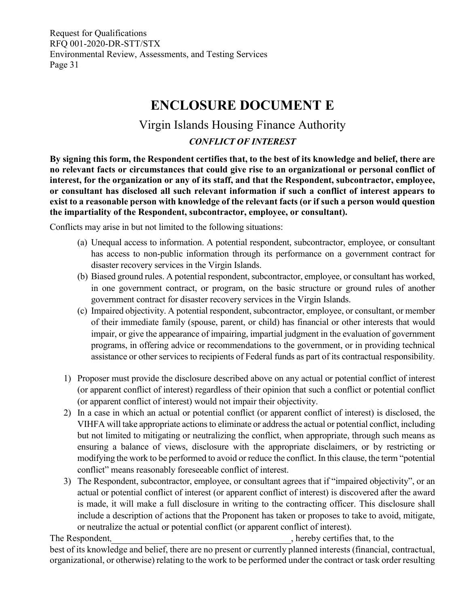## **ENCLOSURE DOCUMENT E**

## Virgin Islands Housing Finance Authority

## *CONFLICT OF INTEREST*

<span id="page-33-0"></span>**By signing this form, the Respondent certifies that, to the best of its knowledge and belief, there are no relevant facts or circumstances that could give rise to an organizational or personal conflict of interest, for the organization or any of its staff, and that the Respondent, subcontractor, employee, or consultant has disclosed all such relevant information if such a conflict of interest appears to exist to a reasonable person with knowledge of the relevant facts (or if such a person would question the impartiality of the Respondent, subcontractor, employee, or consultant).**

Conflicts may arise in but not limited to the following situations:

- (a) Unequal access to information. A potential respondent, subcontractor, employee, or consultant has access to non-public information through its performance on a government contract for disaster recovery services in the Virgin Islands.
- (b) Biased ground rules. A potential respondent, subcontractor, employee, or consultant has worked, in one government contract, or program, on the basic structure or ground rules of another government contract for disaster recovery services in the Virgin Islands.
- (c) Impaired objectivity. A potential respondent, subcontractor, employee, or consultant, or member of their immediate family (spouse, parent, or child) has financial or other interests that would impair, or give the appearance of impairing, impartial judgment in the evaluation of government programs, in offering advice or recommendations to the government, or in providing technical assistance or other services to recipients of Federal funds as part of its contractual responsibility.
- 1) Proposer must provide the disclosure described above on any actual or potential conflict of interest (or apparent conflict of interest) regardless of their opinion that such a conflict or potential conflict (or apparent conflict of interest) would not impair their objectivity.
- 2) In a case in which an actual or potential conflict (or apparent conflict of interest) is disclosed, the VIHFA will take appropriate actions to eliminate or address the actual or potential conflict, including but not limited to mitigating or neutralizing the conflict, when appropriate, through such means as ensuring a balance of views, disclosure with the appropriate disclaimers, or by restricting or modifying the work to be performed to avoid or reduce the conflict. In this clause, the term "potential conflict" means reasonably foreseeable conflict of interest.
- 3) The Respondent, subcontractor, employee, or consultant agrees that if "impaired objectivity", or an actual or potential conflict of interest (or apparent conflict of interest) is discovered after the award is made, it will make a full disclosure in writing to the contracting officer. This disclosure shall include a description of actions that the Proponent has taken or proposes to take to avoid, mitigate, or neutralize the actual or potential conflict (or apparent conflict of interest).

The Respondent, The Respondent,  $\blacksquare$ , hereby certifies that, to the best of its knowledge and belief, there are no present or currently planned interests (financial, contractual, organizational, or otherwise) relating to the work to be performed under the contract or task order resulting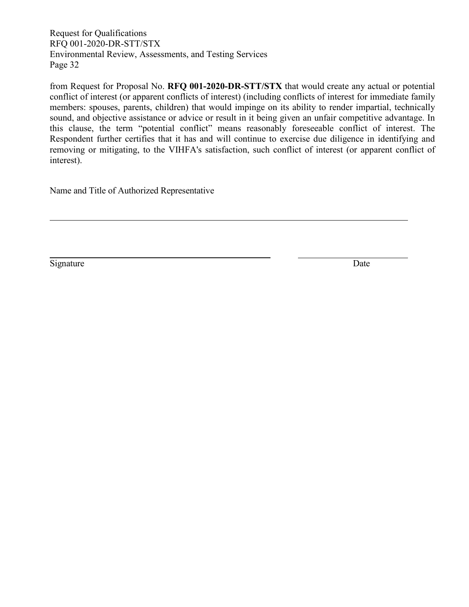from Request for Proposal No. **RFQ 001-2020-DR-STT/STX** that would create any actual or potential conflict of interest (or apparent conflicts of interest) (including conflicts of interest for immediate family members: spouses, parents, children) that would impinge on its ability to render impartial, technically sound, and objective assistance or advice or result in it being given an unfair competitive advantage. In this clause, the term "potential conflict" means reasonably foreseeable conflict of interest. The Respondent further certifies that it has and will continue to exercise due diligence in identifying and removing or mitigating, to the VIHFA's satisfaction, such conflict of interest (or apparent conflict of interest).

Name and Title of Authorized Representative

Signature Date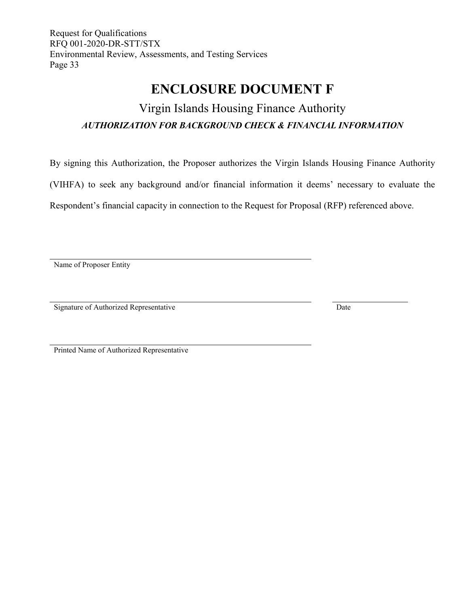## **ENCLOSURE DOCUMENT F**

## <span id="page-35-0"></span>Virgin Islands Housing Finance Authority *AUTHORIZATION FOR BACKGROUND CHECK & FINANCIAL INFORMATION*

By signing this Authorization, the Proposer authorizes the Virgin Islands Housing Finance Authority

(VIHFA) to seek any background and/or financial information it deems' necessary to evaluate the

Respondent's financial capacity in connection to the Request for Proposal (RFP) referenced above.

Name of Proposer Entity

Signature of Authorized Representative Date

Printed Name of Authorized Representative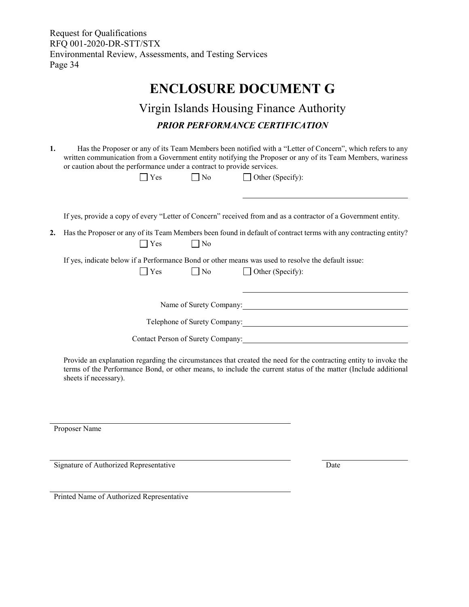## **ENCLOSURE DOCUMENT G**

## Virgin Islands Housing Finance Authority *PRIOR PERFORMANCE CERTIFICATION*

<span id="page-36-0"></span>**1.** Has the Proposer or any of its Team Members been notified with a "Letter of Concern", which refers to any written communication from a Government entity notifying the Proposer or any of its Team Members, wariness or caution about the performance under a contract to provide services.

|    | Yes           | No                                | Other (Specify):                                                                                                              |
|----|---------------|-----------------------------------|-------------------------------------------------------------------------------------------------------------------------------|
|    |               |                                   |                                                                                                                               |
|    |               |                                   | If yes, provide a copy of every "Letter of Concern" received from and as a contractor of a Government entity.                 |
| 2. | Yes           | $\blacksquare$ No                 | Has the Proposer or any of its Team Members been found in default of contract terms with any contracting entity?              |
|    | $\bigcap$ Yes | $\vert$ No                        | If yes, indicate below if a Performance Bond or other means was used to resolve the default issue:<br>$\Box$ Other (Specify): |
|    |               | Name of Surety Company:           |                                                                                                                               |
|    |               | Telephone of Surety Company:      |                                                                                                                               |
|    |               | Contact Person of Surety Company: |                                                                                                                               |
|    |               |                                   |                                                                                                                               |

Provide an explanation regarding the circumstances that created the need for the contracting entity to invoke the terms of the Performance Bond, or other means, to include the current status of the matter (Include additional sheets if necessary).

Proposer Name

Signature of Authorized Representative Date

Printed Name of Authorized Representative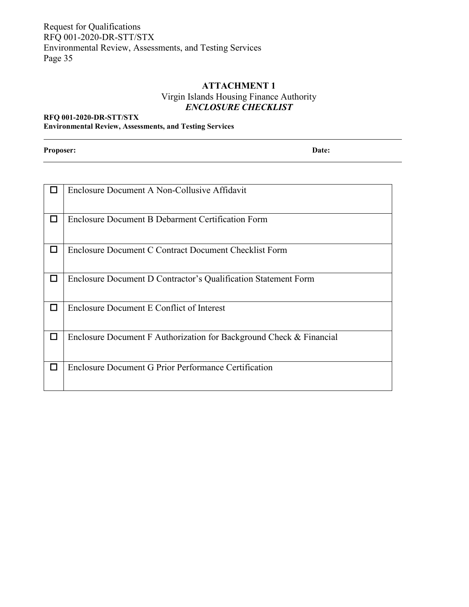## **ATTACHMENT 1** Virgin Islands Housing Finance Authority *ENCLOSURE CHECKLIST*

#### <span id="page-37-0"></span>**RFQ 001-2020-DR-STT/STX Environmental Review, Assessments, and Testing Services**

**Proposer: Date:**

|        | Enclosure Document A Non-Collusive Affidavit                        |
|--------|---------------------------------------------------------------------|
| П      | Enclosure Document B Debarment Certification Form                   |
| □      | Enclosure Document C Contract Document Checklist Form               |
| $\Box$ | Enclosure Document D Contractor's Qualification Statement Form      |
| П      | Enclosure Document E Conflict of Interest                           |
|        | Enclosure Document F Authorization for Background Check & Financial |
| $\Box$ | Enclosure Document G Prior Performance Certification                |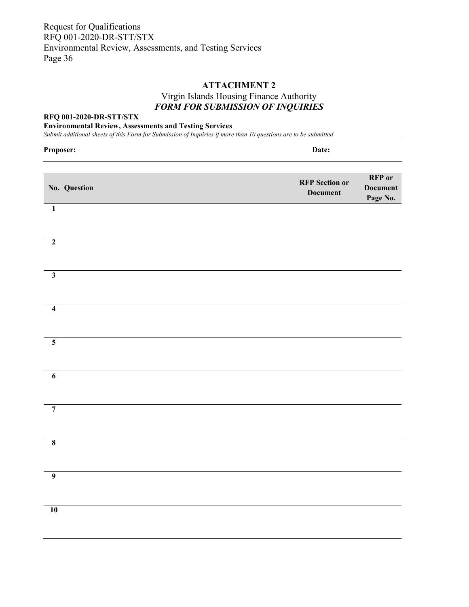## **ATTACHMENT 2** Virgin Islands Housing Finance Authority *FORM FOR SUBMISSION OF INQUIRIES*

#### <span id="page-38-0"></span>**RFQ 001-2020-DR-STT/STX**

**Environmental Review, Assessments and Testing Services**

*Submit additional sheets of this Form for Submission of Inquiries if more than 10 questions are to be submitted*

| Proposer:               | Date:                                                                                    |
|-------------------------|------------------------------------------------------------------------------------------|
| No. Question            | <b>RFP</b> or<br><b>RFP</b> Section or<br><b>Document</b><br><b>Document</b><br>Page No. |
| $\overline{1}$          |                                                                                          |
| $\boldsymbol{2}$        |                                                                                          |
| $\overline{\mathbf{3}}$ |                                                                                          |
| $\overline{4}$          |                                                                                          |
| $\overline{\mathbf{5}}$ |                                                                                          |
| $\overline{6}$          |                                                                                          |
| $\overline{7}$          |                                                                                          |
| $\overline{\mathbf{8}}$ |                                                                                          |
| $\overline{9}$          |                                                                                          |
| $\overline{10}$         |                                                                                          |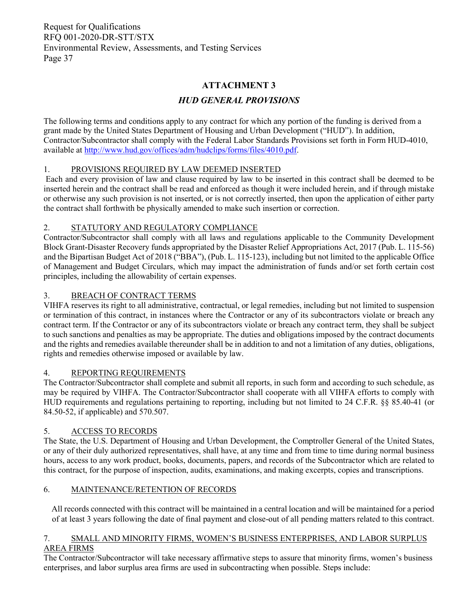## **ATTACHMENT 3**

## *HUD GENERAL PROVISIONS*

<span id="page-39-0"></span>The following terms and conditions apply to any contract for which any portion of the funding is derived from a grant made by the United States Department of Housing and Urban Development ("HUD"). In addition, Contractor/Subcontractor shall comply with the Federal Labor Standards Provisions set forth in Form HUD-4010, available at [http://www.hud.gov/offices/adm/hudclips/forms/files/4010.pdf.](http://www.hud.gov/offices/adm/hudclips/forms/files/4010.pdf)

#### 1. PROVISIONS REQUIRED BY LAW DEEMED INSERTED

Each and every provision of law and clause required by law to be inserted in this contract shall be deemed to be inserted herein and the contract shall be read and enforced as though it were included herein, and if through mistake or otherwise any such provision is not inserted, or is not correctly inserted, then upon the application of either party the contract shall forthwith be physically amended to make such insertion or correction.

#### 2. STATUTORY AND REGULATORY COMPLIANCE

Contractor/Subcontractor shall comply with all laws and regulations applicable to the Community Development Block Grant-Disaster Recovery funds appropriated by the Disaster Relief Appropriations Act, 2017 (Pub. L. 115-56) and the Bipartisan Budget Act of 2018 ("BBA"), (Pub. L. 115-123), including but not limited to the applicable Office of Management and Budget Circulars, which may impact the administration of funds and/or set forth certain cost principles, including the allowability of certain expenses.

#### 3. BREACH OF CONTRACT TERMS

VIHFA reserves its right to all administrative, contractual, or legal remedies, including but not limited to suspension or termination of this contract, in instances where the Contractor or any of its subcontractors violate or breach any contract term. If the Contractor or any of its subcontractors violate or breach any contract term, they shall be subject to such sanctions and penalties as may be appropriate. The duties and obligations imposed by the contract documents and the rights and remedies available thereunder shall be in addition to and not a limitation of any duties, obligations, rights and remedies otherwise imposed or available by law.

#### 4. REPORTING REQUIREMENTS

The Contractor/Subcontractor shall complete and submit all reports, in such form and according to such schedule, as may be required by VIHFA. The Contractor/Subcontractor shall cooperate with all VIHFA efforts to comply with HUD requirements and regulations pertaining to reporting, including but not limited to 24 C.F.R. §§ 85.40-41 (or 84.50-52, if applicable) and 570.507.

#### 5. ACCESS TO RECORDS

The State, the U.S. Department of Housing and Urban Development, the Comptroller General of the United States, or any of their duly authorized representatives, shall have, at any time and from time to time during normal business hours, access to any work product, books, documents, papers, and records of the Subcontractor which are related to this contract, for the purpose of inspection, audits, examinations, and making excerpts, copies and transcriptions.

#### 6. MAINTENANCE/RETENTION OF RECORDS

All records connected with this contract will be maintained in a central location and will be maintained for a period of at least 3 years following the date of final payment and close-out of all pending matters related to this contract.

#### 7. SMALL AND MINORITY FIRMS, WOMEN'S BUSINESS ENTERPRISES, AND LABOR SURPLUS AREA FIRMS

The Contractor/Subcontractor will take necessary affirmative steps to assure that minority firms, women's business enterprises, and labor surplus area firms are used in subcontracting when possible. Steps include: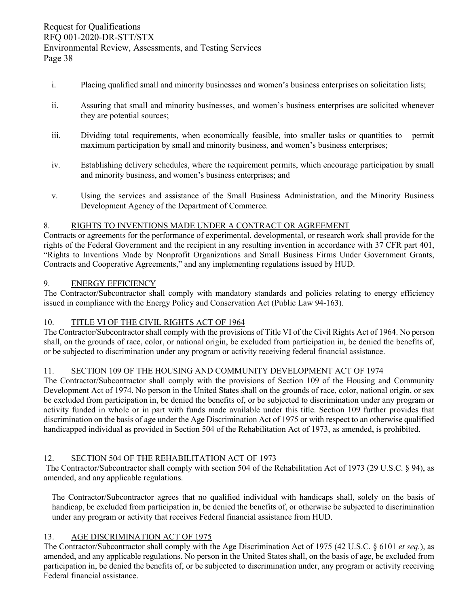- i. Placing qualified small and minority businesses and women's business enterprises on solicitation lists;
- ii. Assuring that small and minority businesses, and women's business enterprises are solicited whenever they are potential sources;
- iii. Dividing total requirements, when economically feasible, into smaller tasks or quantities to permit maximum participation by small and minority business, and women's business enterprises;
- iv. Establishing delivery schedules, where the requirement permits, which encourage participation by small and minority business, and women's business enterprises; and
- v. Using the services and assistance of the Small Business Administration, and the Minority Business Development Agency of the Department of Commerce.

#### 8. RIGHTS TO INVENTIONS MADE UNDER A CONTRACT OR AGREEMENT

Contracts or agreements for the performance of experimental, developmental, or research work shall provide for the rights of the Federal Government and the recipient in any resulting invention in accordance with 37 CFR part 401, "Rights to Inventions Made by Nonprofit Organizations and Small Business Firms Under Government Grants, Contracts and Cooperative Agreements," and any implementing regulations issued by HUD.

#### 9. ENERGY EFFICIENCY

The Contractor/Subcontractor shall comply with mandatory standards and policies relating to energy efficiency issued in compliance with the Energy Policy and Conservation Act (Public Law 94-163).

#### 10. TITLE VI OF THE CIVIL RIGHTS ACT OF 1964

The Contractor/Subcontractor shall comply with the provisions of Title VI of the Civil Rights Act of 1964. No person shall, on the grounds of race, color, or national origin, be excluded from participation in, be denied the benefits of, or be subjected to discrimination under any program or activity receiving federal financial assistance.

#### 11. SECTION 109 OF THE HOUSING AND COMMUNITY DEVELOPMENT ACT OF 1974

The Contractor/Subcontractor shall comply with the provisions of Section 109 of the Housing and Community Development Act of 1974. No person in the United States shall on the grounds of race, color, national origin, or sex be excluded from participation in, be denied the benefits of, or be subjected to discrimination under any program or activity funded in whole or in part with funds made available under this title. Section 109 further provides that discrimination on the basis of age under the Age Discrimination Act of 1975 or with respect to an otherwise qualified handicapped individual as provided in Section 504 of the Rehabilitation Act of 1973, as amended, is prohibited.

#### 12. SECTION 504 OF THE REHABILITATION ACT OF 1973

The Contractor/Subcontractor shall comply with section 504 of the Rehabilitation Act of 1973 (29 U.S.C. § 94), as amended, and any applicable regulations.

The Contractor/Subcontractor agrees that no qualified individual with handicaps shall, solely on the basis of handicap, be excluded from participation in, be denied the benefits of, or otherwise be subjected to discrimination under any program or activity that receives Federal financial assistance from HUD.

#### 13. AGE DISCRIMINATION ACT OF 1975

The Contractor/Subcontractor shall comply with the Age Discrimination Act of 1975 (42 U.S.C. § 6101 *et seq.*), as amended, and any applicable regulations. No person in the United States shall, on the basis of age, be excluded from participation in, be denied the benefits of, or be subjected to discrimination under, any program or activity receiving Federal financial assistance.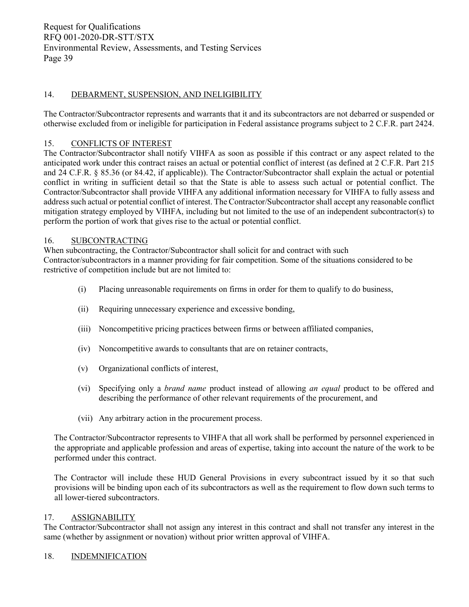#### 14. DEBARMENT, SUSPENSION, AND INELIGIBILITY

The Contractor/Subcontractor represents and warrants that it and its subcontractors are not debarred or suspended or otherwise excluded from or ineligible for participation in Federal assistance programs subject to 2 C.F.R. part 2424.

#### 15. CONFLICTS OF INTEREST

The Contractor/Subcontractor shall notify VIHFA as soon as possible if this contract or any aspect related to the anticipated work under this contract raises an actual or potential conflict of interest (as defined at 2 C.F.R. Part 215 and 24 C.F.R. § 85.36 (or 84.42, if applicable)). The Contractor/Subcontractor shall explain the actual or potential conflict in writing in sufficient detail so that the State is able to assess such actual or potential conflict. The Contractor/Subcontractor shall provide VIHFA any additional information necessary for VIHFA to fully assess and address such actual or potential conflict of interest. The Contractor/Subcontractor shall accept any reasonable conflict mitigation strategy employed by VIHFA, including but not limited to the use of an independent subcontractor(s) to perform the portion of work that gives rise to the actual or potential conflict.

#### 16. SUBCONTRACTING

When subcontracting, the Contractor/Subcontractor shall solicit for and contract with such Contractor/subcontractors in a manner providing for fair competition. Some of the situations considered to be restrictive of competition include but are not limited to:

- (i) Placing unreasonable requirements on firms in order for them to qualify to do business,
- (ii) Requiring unnecessary experience and excessive bonding,
- (iii) Noncompetitive pricing practices between firms or between affiliated companies,
- (iv) Noncompetitive awards to consultants that are on retainer contracts,
- (v) Organizational conflicts of interest,
- (vi) Specifying only a *brand name* product instead of allowing *an equal* product to be offered and describing the performance of other relevant requirements of the procurement, and
- (vii) Any arbitrary action in the procurement process.

The Contractor/Subcontractor represents to VIHFA that all work shall be performed by personnel experienced in the appropriate and applicable profession and areas of expertise, taking into account the nature of the work to be performed under this contract.

The Contractor will include these HUD General Provisions in every subcontract issued by it so that such provisions will be binding upon each of its subcontractors as well as the requirement to flow down such terms to all lower-tiered subcontractors.

#### 17. ASSIGNABILITY

The Contractor/Subcontractor shall not assign any interest in this contract and shall not transfer any interest in the same (whether by assignment or novation) without prior written approval of VIHFA.

#### 18. INDEMNIFICATION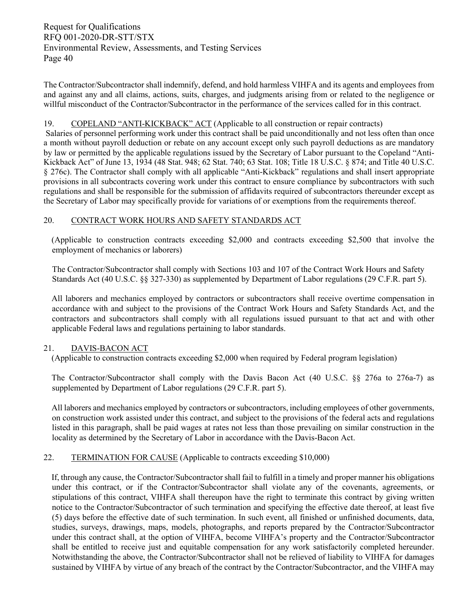The Contractor/Subcontractor shall indemnify, defend, and hold harmless VIHFA and its agents and employees from and against any and all claims, actions, suits, charges, and judgments arising from or related to the negligence or willful misconduct of the Contractor/Subcontractor in the performance of the services called for in this contract.

#### 19. COPELAND "ANTI-KICKBACK" ACT (Applicable to all construction or repair contracts)

Salaries of personnel performing work under this contract shall be paid unconditionally and not less often than once a month without payroll deduction or rebate on any account except only such payroll deductions as are mandatory by law or permitted by the applicable regulations issued by the Secretary of Labor pursuant to the Copeland "Anti-Kickback Act" of June 13, 1934 (48 Stat. 948; 62 Stat. 740; 63 Stat. 108; Title 18 U.S.C. § 874; and Title 40 U.S.C. § 276c). The Contractor shall comply with all applicable "Anti-Kickback" regulations and shall insert appropriate provisions in all subcontracts covering work under this contract to ensure compliance by subcontractors with such regulations and shall be responsible for the submission of affidavits required of subcontractors thereunder except as the Secretary of Labor may specifically provide for variations of or exemptions from the requirements thereof.

#### 20. CONTRACT WORK HOURS AND SAFETY STANDARDS ACT

(Applicable to construction contracts exceeding \$2,000 and contracts exceeding \$2,500 that involve the employment of mechanics or laborers)

The Contractor/Subcontractor shall comply with Sections 103 and 107 of the Contract Work Hours and Safety Standards Act (40 U.S.C. §§ 327-330) as supplemented by Department of Labor regulations (29 C.F.R. part 5).

All laborers and mechanics employed by contractors or subcontractors shall receive overtime compensation in accordance with and subject to the provisions of the Contract Work Hours and Safety Standards Act, and the contractors and subcontractors shall comply with all regulations issued pursuant to that act and with other applicable Federal laws and regulations pertaining to labor standards.

#### 21. DAVIS-BACON ACT

(Applicable to construction contracts exceeding \$2,000 when required by Federal program legislation)

The Contractor/Subcontractor shall comply with the Davis Bacon Act (40 U.S.C. §§ 276a to 276a-7) as supplemented by Department of Labor regulations (29 C.F.R. part 5).

All laborers and mechanics employed by contractors or subcontractors, including employees of other governments, on construction work assisted under this contract, and subject to the provisions of the federal acts and regulations listed in this paragraph, shall be paid wages at rates not less than those prevailing on similar construction in the locality as determined by the Secretary of Labor in accordance with the Davis-Bacon Act.

#### 22. TERMINATION FOR CAUSE (Applicable to contracts exceeding \$10,000)

If, through any cause, the Contractor/Subcontractor shall fail to fulfill in a timely and proper manner his obligations under this contract, or if the Contractor/Subcontractor shall violate any of the covenants, agreements, or stipulations of this contract, VIHFA shall thereupon have the right to terminate this contract by giving written notice to the Contractor/Subcontractor of such termination and specifying the effective date thereof, at least five (5) days before the effective date of such termination. In such event, all finished or unfinished documents, data, studies, surveys, drawings, maps, models, photographs, and reports prepared by the Contractor/Subcontractor under this contract shall, at the option of VIHFA, become VIHFA's property and the Contractor/Subcontractor shall be entitled to receive just and equitable compensation for any work satisfactorily completed hereunder. Notwithstanding the above, the Contractor/Subcontractor shall not be relieved of liability to VIHFA for damages sustained by VIHFA by virtue of any breach of the contract by the Contractor/Subcontractor, and the VIHFA may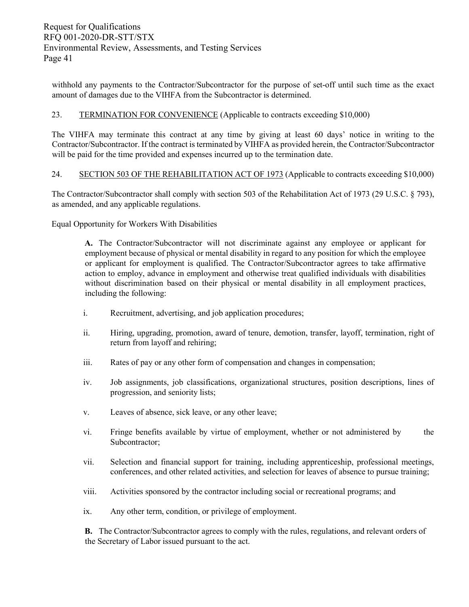withhold any payments to the Contractor/Subcontractor for the purpose of set-off until such time as the exact amount of damages due to the VIHFA from the Subcontractor is determined.

#### 23. TERMINATION FOR CONVENIENCE (Applicable to contracts exceeding \$10,000)

The VIHFA may terminate this contract at any time by giving at least 60 days' notice in writing to the Contractor/Subcontractor. If the contract is terminated by VIHFA as provided herein, the Contractor/Subcontractor will be paid for the time provided and expenses incurred up to the termination date.

#### 24. SECTION 503 OF THE REHABILITATION ACT OF 1973 (Applicable to contracts exceeding \$10,000)

The Contractor/Subcontractor shall comply with section 503 of the Rehabilitation Act of 1973 (29 U.S.C. § 793), as amended, and any applicable regulations.

Equal Opportunity for Workers With Disabilities

**A.** The Contractor/Subcontractor will not discriminate against any employee or applicant for employment because of physical or mental disability in regard to any position for which the employee or applicant for employment is qualified. The Contractor/Subcontractor agrees to take affirmative action to employ, advance in employment and otherwise treat qualified individuals with disabilities without discrimination based on their physical or mental disability in all employment practices, including the following:

- i. Recruitment, advertising, and job application procedures;
- ii. Hiring, upgrading, promotion, award of tenure, demotion, transfer, layoff, termination, right of return from layoff and rehiring;
- iii. Rates of pay or any other form of compensation and changes in compensation;
- iv. Job assignments, job classifications, organizational structures, position descriptions, lines of progression, and seniority lists;
- v. Leaves of absence, sick leave, or any other leave;
- vi. Fringe benefits available by virtue of employment, whether or not administered by the Subcontractor;
- vii. Selection and financial support for training, including apprenticeship, professional meetings, conferences, and other related activities, and selection for leaves of absence to pursue training;
- viii. Activities sponsored by the contractor including social or recreational programs; and
- ix. Any other term, condition, or privilege of employment.

**B.** The Contractor/Subcontractor agrees to comply with the rules, regulations, and relevant orders of the Secretary of Labor issued pursuant to the act.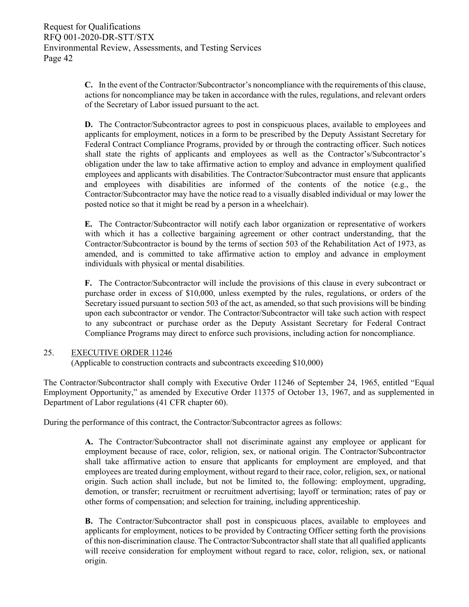**C.** In the event of the Contractor/Subcontractor's noncompliance with the requirements of this clause, actions for noncompliance may be taken in accordance with the rules, regulations, and relevant orders of the Secretary of Labor issued pursuant to the act.

**D.** The Contractor/Subcontractor agrees to post in conspicuous places, available to employees and applicants for employment, notices in a form to be prescribed by the Deputy Assistant Secretary for Federal Contract Compliance Programs, provided by or through the contracting officer. Such notices shall state the rights of applicants and employees as well as the Contractor's/Subcontractor's obligation under the law to take affirmative action to employ and advance in employment qualified employees and applicants with disabilities. The Contractor/Subcontractor must ensure that applicants and employees with disabilities are informed of the contents of the notice (e.g., the Contractor/Subcontractor may have the notice read to a visually disabled individual or may lower the posted notice so that it might be read by a person in a wheelchair).

**E.** The Contractor/Subcontractor will notify each labor organization or representative of workers with which it has a collective bargaining agreement or other contract understanding, that the Contractor/Subcontractor is bound by the terms of section 503 of the Rehabilitation Act of 1973, as amended, and is committed to take affirmative action to employ and advance in employment individuals with physical or mental disabilities.

**F.** The Contractor/Subcontractor will include the provisions of this clause in every subcontract or purchase order in excess of \$10,000, unless exempted by the rules, regulations, or orders of the Secretary issued pursuant to section 503 of the act, as amended, so that such provisions will be binding upon each subcontractor or vendor. The Contractor/Subcontractor will take such action with respect to any subcontract or purchase order as the Deputy Assistant Secretary for Federal Contract Compliance Programs may direct to enforce such provisions, including action for noncompliance.

#### 25. EXECUTIVE ORDER 11246

(Applicable to construction contracts and subcontracts exceeding \$10,000)

The Contractor/Subcontractor shall comply with Executive Order 11246 of September 24, 1965, entitled "Equal Employment Opportunity," as amended by Executive Order 11375 of October 13, 1967, and as supplemented in Department of Labor regulations (41 CFR chapter 60).

During the performance of this contract, the Contractor/Subcontractor agrees as follows:

**A.** The Contractor/Subcontractor shall not discriminate against any employee or applicant for employment because of race, color, religion, sex, or national origin. The Contractor/Subcontractor shall take affirmative action to ensure that applicants for employment are employed, and that employees are treated during employment, without regard to their race, color, religion, sex, or national origin. Such action shall include, but not be limited to, the following: employment, upgrading, demotion, or transfer; recruitment or recruitment advertising; layoff or termination; rates of pay or other forms of compensation; and selection for training, including apprenticeship.

**B.** The Contractor/Subcontractor shall post in conspicuous places, available to employees and applicants for employment, notices to be provided by Contracting Officer setting forth the provisions of this non-discrimination clause. The Contractor/Subcontractor shall state that all qualified applicants will receive consideration for employment without regard to race, color, religion, sex, or national origin.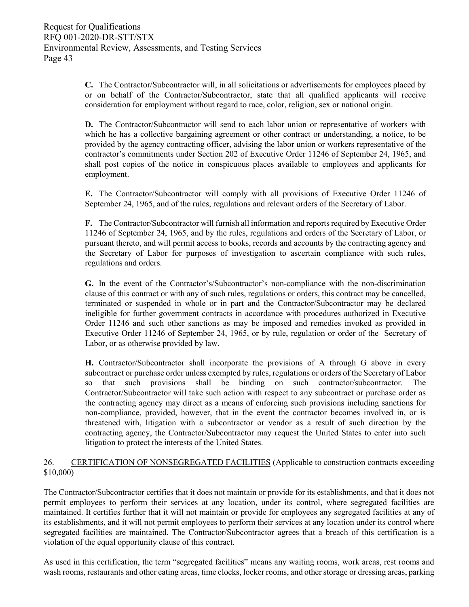**C.** The Contractor/Subcontractor will, in all solicitations or advertisements for employees placed by or on behalf of the Contractor/Subcontractor, state that all qualified applicants will receive consideration for employment without regard to race, color, religion, sex or national origin.

**D.** The Contractor/Subcontractor will send to each labor union or representative of workers with which he has a collective bargaining agreement or other contract or understanding, a notice, to be provided by the agency contracting officer, advising the labor union or workers representative of the contractor's commitments under Section 202 of Executive Order 11246 of September 24, 1965, and shall post copies of the notice in conspicuous places available to employees and applicants for employment.

**E.** The Contractor/Subcontractor will comply with all provisions of Executive Order 11246 of September 24, 1965, and of the rules, regulations and relevant orders of the Secretary of Labor.

**F.** The Contractor/Subcontractor will furnish all information and reports required by Executive Order 11246 of September 24, 1965, and by the rules, regulations and orders of the Secretary of Labor, or pursuant thereto, and will permit access to books, records and accounts by the contracting agency and the Secretary of Labor for purposes of investigation to ascertain compliance with such rules, regulations and orders.

**G.** In the event of the Contractor's/Subcontractor's non-compliance with the non-discrimination clause of this contract or with any of such rules, regulations or orders, this contract may be cancelled, terminated or suspended in whole or in part and the Contractor/Subcontractor may be declared ineligible for further government contracts in accordance with procedures authorized in Executive Order 11246 and such other sanctions as may be imposed and remedies invoked as provided in Executive Order 11246 of September 24, 1965, or by rule, regulation or order of the Secretary of Labor, or as otherwise provided by law.

**H.** Contractor/Subcontractor shall incorporate the provisions of A through G above in every subcontract or purchase order unless exempted by rules, regulations or orders of the Secretary of Labor so that such provisions shall be binding on such contractor/subcontractor. The Contractor/Subcontractor will take such action with respect to any subcontract or purchase order as the contracting agency may direct as a means of enforcing such provisions including sanctions for non-compliance, provided, however, that in the event the contractor becomes involved in, or is threatened with, litigation with a subcontractor or vendor as a result of such direction by the contracting agency, the Contractor/Subcontractor may request the United States to enter into such litigation to protect the interests of the United States.

#### 26. CERTIFICATION OF NONSEGREGATED FACILITIES (Applicable to construction contracts exceeding \$10,000)

The Contractor/Subcontractor certifies that it does not maintain or provide for its establishments, and that it does not permit employees to perform their services at any location, under its control, where segregated facilities are maintained. It certifies further that it will not maintain or provide for employees any segregated facilities at any of its establishments, and it will not permit employees to perform their services at any location under its control where segregated facilities are maintained. The Contractor/Subcontractor agrees that a breach of this certification is a violation of the equal opportunity clause of this contract.

As used in this certification, the term "segregated facilities" means any waiting rooms, work areas, rest rooms and wash rooms, restaurants and other eating areas, time clocks, locker rooms, and other storage or dressing areas, parking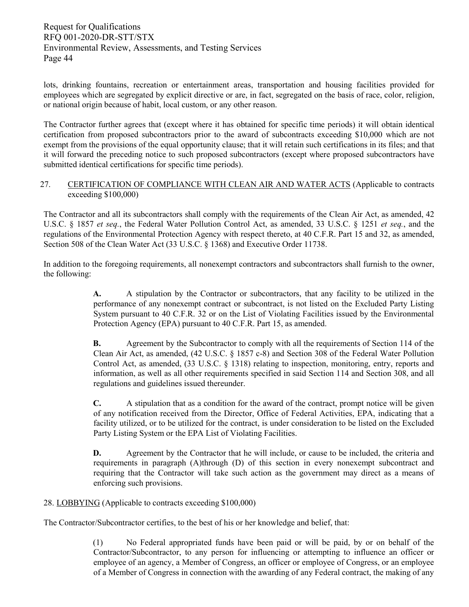lots, drinking fountains, recreation or entertainment areas, transportation and housing facilities provided for employees which are segregated by explicit directive or are, in fact, segregated on the basis of race, color, religion, or national origin because of habit, local custom, or any other reason.

The Contractor further agrees that (except where it has obtained for specific time periods) it will obtain identical certification from proposed subcontractors prior to the award of subcontracts exceeding \$10,000 which are not exempt from the provisions of the equal opportunity clause; that it will retain such certifications in its files; and that it will forward the preceding notice to such proposed subcontractors (except where proposed subcontractors have submitted identical certifications for specific time periods).

#### 27. CERTIFICATION OF COMPLIANCE WITH CLEAN AIR AND WATER ACTS (Applicable to contracts exceeding \$100,000)

The Contractor and all its subcontractors shall comply with the requirements of the Clean Air Act, as amended, 42 U.S.C. § 1857 *et seq.*, the Federal Water Pollution Control Act, as amended, 33 U.S.C. § 1251 *et seq.*, and the regulations of the Environmental Protection Agency with respect thereto, at 40 C.F.R. Part 15 and 32, as amended, Section 508 of the Clean Water Act (33 U.S.C. § 1368) and Executive Order 11738.

In addition to the foregoing requirements, all nonexempt contractors and subcontractors shall furnish to the owner, the following:

> **A.** A stipulation by the Contractor or subcontractors, that any facility to be utilized in the performance of any nonexempt contract or subcontract, is not listed on the Excluded Party Listing System pursuant to 40 C.F.R. 32 or on the List of Violating Facilities issued by the Environmental Protection Agency (EPA) pursuant to 40 C.F.R. Part 15, as amended.

> **B.** Agreement by the Subcontractor to comply with all the requirements of Section 114 of the Clean Air Act, as amended, (42 U.S.C. § 1857 c-8) and Section 308 of the Federal Water Pollution Control Act, as amended, (33 U.S.C. § 1318) relating to inspection, monitoring, entry, reports and information, as well as all other requirements specified in said Section 114 and Section 308, and all regulations and guidelines issued thereunder.

> **C.** A stipulation that as a condition for the award of the contract, prompt notice will be given of any notification received from the Director, Office of Federal Activities, EPA, indicating that a facility utilized, or to be utilized for the contract, is under consideration to be listed on the Excluded Party Listing System or the EPA List of Violating Facilities.

> **D.** Agreement by the Contractor that he will include, or cause to be included, the criteria and requirements in paragraph (A)through (D) of this section in every nonexempt subcontract and requiring that the Contractor will take such action as the government may direct as a means of enforcing such provisions.

#### 28. LOBBYING (Applicable to contracts exceeding \$100,000)

The Contractor/Subcontractor certifies, to the best of his or her knowledge and belief, that:

(1) No Federal appropriated funds have been paid or will be paid, by or on behalf of the Contractor/Subcontractor, to any person for influencing or attempting to influence an officer or employee of an agency, a Member of Congress, an officer or employee of Congress, or an employee of a Member of Congress in connection with the awarding of any Federal contract, the making of any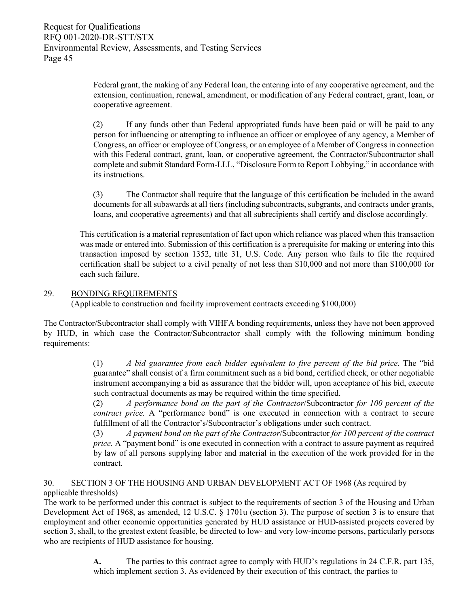Federal grant, the making of any Federal loan, the entering into of any cooperative agreement, and the extension, continuation, renewal, amendment, or modification of any Federal contract, grant, loan, or cooperative agreement.

(2) If any funds other than Federal appropriated funds have been paid or will be paid to any person for influencing or attempting to influence an officer or employee of any agency, a Member of Congress, an officer or employee of Congress, or an employee of a Member of Congress in connection with this Federal contract, grant, loan, or cooperative agreement, the Contractor/Subcontractor shall complete and submit Standard Form-LLL, "Disclosure Form to Report Lobbying," in accordance with its instructions.

(3) The Contractor shall require that the language of this certification be included in the award documents for all subawards at all tiers (including subcontracts, subgrants, and contracts under grants, loans, and cooperative agreements) and that all subrecipients shall certify and disclose accordingly.

This certification is a material representation of fact upon which reliance was placed when this transaction was made or entered into. Submission of this certification is a prerequisite for making or entering into this transaction imposed by section 1352, title 31, U.S. Code. Any person who fails to file the required certification shall be subject to a civil penalty of not less than \$10,000 and not more than \$100,000 for each such failure.

#### 29. BONDING REQUIREMENTS

(Applicable to construction and facility improvement contracts exceeding \$100,000)

The Contractor/Subcontractor shall comply with VIHFA bonding requirements, unless they have not been approved by HUD, in which case the Contractor/Subcontractor shall comply with the following minimum bonding requirements:

> (1) *A bid guarantee from each bidder equivalent to five percent of the bid price.* The "bid guarantee" shall consist of a firm commitment such as a bid bond, certified check, or other negotiable instrument accompanying a bid as assurance that the bidder will, upon acceptance of his bid, execute such contractual documents as may be required within the time specified.

> (2) *A performance bond on the part of the Contractor*/Subcontractor *for 100 percent of the contract price.* A "performance bond" is one executed in connection with a contract to secure fulfillment of all the Contractor's/Subcontractor's obligations under such contract.

> (3) *A payment bond on the part of the Contractor*/Subcontractor *for 100 percent of the contract price.* A "payment bond" is one executed in connection with a contract to assure payment as required by law of all persons supplying labor and material in the execution of the work provided for in the contract.

#### 30. SECTION 3 OF THE HOUSING AND URBAN DEVELOPMENT ACT OF 1968 (As required by applicable thresholds)

The work to be performed under this contract is subject to the requirements of section 3 of the Housing and Urban Development Act of 1968, as amended, 12 U.S.C. § 1701u (section 3). The purpose of section 3 is to ensure that employment and other economic opportunities generated by HUD assistance or HUD-assisted projects covered by section 3, shall, to the greatest extent feasible, be directed to low- and very low-income persons, particularly persons who are recipients of HUD assistance for housing.

> **A.** The parties to this contract agree to comply with HUD's regulations in 24 C.F.R. part 135, which implement section 3. As evidenced by their execution of this contract, the parties to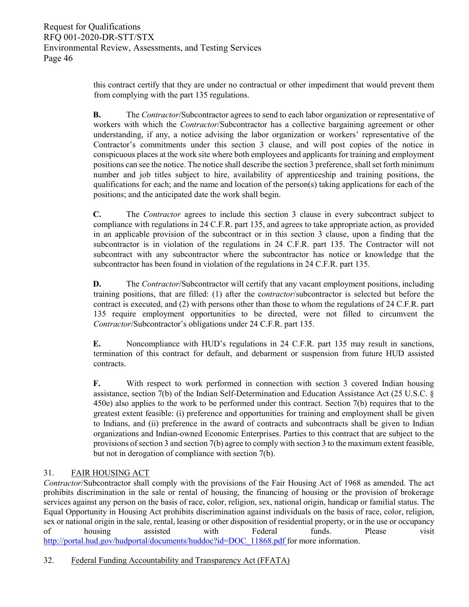this contract certify that they are under no contractual or other impediment that would prevent them from complying with the part 135 regulations.

**B.** The *Contractor*/Subcontractor agrees to send to each labor organization or representative of workers with which the *Contractor*/Subcontractor has a collective bargaining agreement or other understanding, if any, a notice advising the labor organization or workers' representative of the Contractor's commitments under this section 3 clause, and will post copies of the notice in conspicuous places at the work site where both employees and applicants for training and employment positions can see the notice. The notice shall describe the section 3 preference, shall set forth minimum number and job titles subject to hire, availability of apprenticeship and training positions, the qualifications for each; and the name and location of the person(s) taking applications for each of the positions; and the anticipated date the work shall begin.

**C.** The *Contractor* agrees to include this section 3 clause in every subcontract subject to compliance with regulations in 24 C.F.R. part 135, and agrees to take appropriate action, as provided in an applicable provision of the subcontract or in this section 3 clause, upon a finding that the subcontractor is in violation of the regulations in 24 C.F.R. part 135. The Contractor will not subcontract with any subcontractor where the subcontractor has notice or knowledge that the subcontractor has been found in violation of the regulations in 24 C.F.R. part 135.

**D.** The *Contractor*/Subcontractor will certify that any vacant employment positions, including training positions, that are filled: (1) after the c*ontractor*/subcontractor is selected but before the contract is executed, and (2) with persons other than those to whom the regulations of 24 C.F.R. part 135 require employment opportunities to be directed, were not filled to circumvent the *Contractor*/Subcontractor's obligations under 24 C.F.R. part 135.

**E.** Noncompliance with HUD's regulations in 24 C.F.R. part 135 may result in sanctions, termination of this contract for default, and debarment or suspension from future HUD assisted contracts.

**F.** With respect to work performed in connection with section 3 covered Indian housing assistance, section 7(b) of the Indian Self-Determination and Education Assistance Act (25 U.S.C. § 450e) also applies to the work to be performed under this contract. Section 7(b) requires that to the greatest extent feasible: (i) preference and opportunities for training and employment shall be given to Indians, and (ii) preference in the award of contracts and subcontracts shall be given to Indian organizations and Indian-owned Economic Enterprises. Parties to this contract that are subject to the provisions of section 3 and section 7(b) agree to comply with section 3 to the maximum extent feasible, but not in derogation of compliance with section 7(b).

#### 31. FAIR HOUSING ACT

*Contractor*/Subcontractor shall comply with the provisions of the Fair Housing Act of 1968 as amended. The act prohibits discrimination in the sale or rental of housing, the financing of housing or the provision of brokerage services against any person on the basis of race, color, religion, sex, national origin, handicap or familial status. The Equal Opportunity in Housing Act prohibits discrimination against individuals on the basis of race, color, religion, sex or national origin in the sale, rental, leasing or other disposition of residential property, or in the use or occupancy of housing assisted with Federal funds. Please visit [http://portal.hud.gov/hudportal/documents/huddoc?id=DOC\\_11868.pdf fo](http://portal.hud.gov/hudportal/documents/huddoc?id=DOC_11868.pdf%20)r more information.

#### 32. Federal Funding Accountability and Transparency Act (FFATA)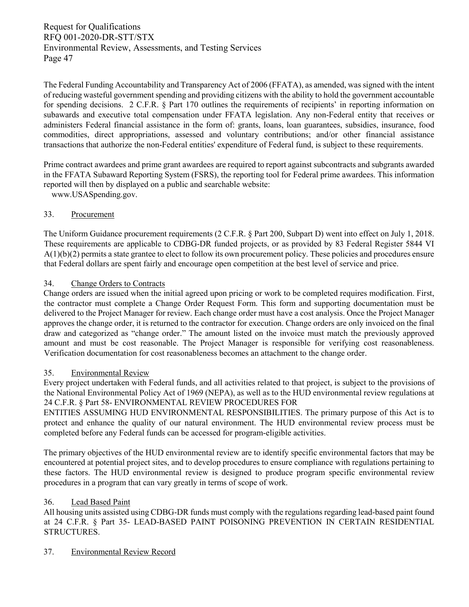The Federal Funding Accountability and Transparency Act of 2006 (FFATA), as amended, was signed with the intent of reducing wasteful government spending and providing citizens with the ability to hold the government accountable for spending decisions. 2 C.F.R. § Part 170 outlines the requirements of recipients' in reporting information on subawards and executive total compensation under FFATA legislation. Any non-Federal entity that receives or administers Federal financial assistance in the form of: grants, loans, loan guarantees, subsidies, insurance, food commodities, direct appropriations, assessed and voluntary contributions; and/or other financial assistance transactions that authorize the non-Federal entities' expenditure of Federal fund, is subject to these requirements.

Prime contract awardees and prime grant awardees are required to report against subcontracts and subgrants awarded in the FFATA Subaward Reporting System (FSRS), the reporting tool for Federal prime awardees. This information reported will then by displayed on a public and searchable website:

[www.USASpending.gov.](http://www.usaspending.gov/)

#### 33. Procurement

The Uniform Guidance procurement requirements (2 C.F.R. § Part 200, Subpart D) went into effect on July 1, 2018. These requirements are applicable to CDBG-DR funded projects, or as provided by 83 Federal Register 5844 VI  $A(1)(b)(2)$  permits a state grantee to elect to follow its own procurement policy. These policies and procedures ensure that Federal dollars are spent fairly and encourage open competition at the best level of service and price.

#### 34. Change Orders to Contracts

Change orders are issued when the initial agreed upon pricing or work to be completed requires modification. First, the contractor must complete a Change Order Request Form. This form and supporting documentation must be delivered to the Project Manager for review. Each change order must have a cost analysis. Once the Project Manager approves the change order, it is returned to the contractor for execution. Change orders are only invoiced on the final draw and categorized as "change order." The amount listed on the invoice must match the previously approved amount and must be cost reasonable. The Project Manager is responsible for verifying cost reasonableness. Verification documentation for cost reasonableness becomes an attachment to the change order.

#### 35. Environmental Review

Every project undertaken with Federal funds, and all activities related to that project, is subject to the provisions of the National Environmental Policy Act of 1969 (NEPA), as well as to the HUD environmental review regulations at 24 C.F.R. § Part 58- ENVIRONMENTAL REVIEW PROCEDURES FOR

ENTITIES ASSUMING HUD ENVIRONMENTAL RESPONSIBILITIES. The primary purpose of this Act is to protect and enhance the quality of our natural environment. The HUD environmental review process must be completed before any Federal funds can be accessed for program‐eligible activities.

The primary objectives of the HUD environmental review are to identify specific environmental factors that may be encountered at potential project sites, and to develop procedures to ensure compliance with regulations pertaining to these factors. The HUD environmental review is designed to produce program specific environmental review procedures in a program that can vary greatly in terms of scope of work.

#### 36. Lead Based Paint

All housing units assisted using CDBG-DR funds must comply with the regulations regarding lead-based paint found at 24 C.F.R. § Part 35- LEAD-BASED PAINT POISONING PREVENTION IN CERTAIN RESIDENTIAL STRUCTURES.

37. Environmental Review Record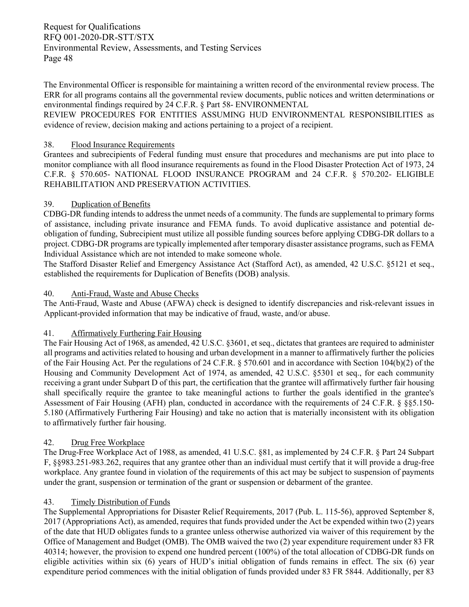The Environmental Officer is responsible for maintaining a written record of the environmental review process. The ERR for all programs contains all the governmental review documents, public notices and written determinations or environmental findings required by 24 C.F.R. § Part 58- ENVIRONMENTAL

REVIEW PROCEDURES FOR ENTITIES ASSUMING HUD ENVIRONMENTAL RESPONSIBILITIES as evidence of review, decision making and actions pertaining to a project of a recipient.

#### 38. Flood Insurance Requirements

Grantees and subrecipients of Federal funding must ensure that procedures and mechanisms are put into place to monitor compliance with all flood insurance requirements as found in the Flood Disaster Protection Act of 1973, 24 C.F.R. § 570.605- NATIONAL FLOOD INSURANCE PROGRAM and 24 C.F.R. § 570.202- ELIGIBLE REHABILITATION AND PRESERVATION ACTIVITIES.

#### 39. Duplication of Benefits

CDBG-DR funding intends to address the unmet needs of a community. The funds are supplemental to primary forms of assistance, including private insurance and FEMA funds. To avoid duplicative assistance and potential deobligation of funding, Subrecipient must utilize all possible funding sources before applying CDBG-DR dollars to a project. CDBG-DR programs are typically implemented after temporary disaster assistance programs, such as FEMA Individual Assistance which are not intended to make someone whole.

The Stafford Disaster Relief and Emergency Assistance Act (Stafford Act), as amended, 42 U.S.C. §5121 et seq., established the requirements for Duplication of Benefits (DOB) analysis.

#### 40. Anti-Fraud, Waste and Abuse Checks

The Anti-Fraud, Waste and Abuse (AFWA) check is designed to identify discrepancies and risk-relevant issues in Applicant-provided information that may be indicative of fraud, waste, and/or abuse.

#### 41. Affirmatively Furthering Fair Housing

The Fair Housing Act of 1968, as amended, 42 U.S.C. §3601, et seq., dictates that grantees are required to administer all programs and activities related to housing and urban development in a manner to affirmatively further the policies of the Fair Housing Act. Per the regulations of 24 C.F.R. § 570.601 and in accordance with Section 104(b)(2) of the Housing and Community Development Act of 1974, as amended, 42 U.S.C. §5301 et seq., for each community receiving a grant under Subpart D of this part, the certification that the grantee will affirmatively further fair housing shall specifically require the grantee to take meaningful actions to further the goals identified in the grantee's Assessment of Fair Housing (AFH) plan, conducted in accordance with the requirements of 24 C.F.R. § §§5.150- 5.180 (Affirmatively Furthering Fair Housing) and take no action that is materially inconsistent with its obligation to affirmatively further fair housing.

#### 42. Drug Free Workplace

The Drug-Free Workplace Act of 1988, as amended, 41 U.S.C. §81, as implemented by 24 C.F.R. § Part 24 Subpart F, §§983.251-983.262, requires that any grantee other than an individual must certify that it will provide a drug-free workplace. Any grantee found in violation of the requirements of this act may be subject to suspension of payments under the grant, suspension or termination of the grant or suspension or debarment of the grantee.

#### 43. Timely Distribution of Funds

The Supplemental Appropriations for Disaster Relief Requirements, 2017 (Pub. L. 115-56), approved September 8, 2017 (Appropriations Act), as amended, requires that funds provided under the Act be expended within two (2) years of the date that HUD obligates funds to a grantee unless otherwise authorized via waiver of this requirement by the Office of Management and Budget (OMB). The OMB waived the two (2) year expenditure requirement under 83 FR 40314; however, the provision to expend one hundred percent (100%) of the total allocation of CDBG-DR funds on eligible activities within six (6) years of HUD's initial obligation of funds remains in effect. The six (6) year expenditure period commences with the initial obligation of funds provided under 83 FR 5844. Additionally, per 83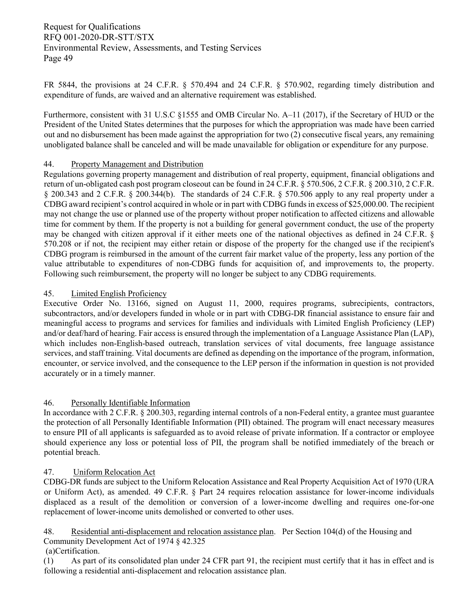FR 5844, the provisions at 24 C.F.R. § 570.494 and 24 C.F.R. § 570.902, regarding timely distribution and expenditure of funds, are waived and an alternative requirement was established.

Furthermore, consistent with 31 U.S.C §1555 and OMB Circular No. A–11 (2017), if the Secretary of HUD or the President of the United States determines that the purposes for which the appropriation was made have been carried out and no disbursement has been made against the appropriation for two (2) consecutive fiscal years, any remaining unobligated balance shall be canceled and will be made unavailable for obligation or expenditure for any purpose.

#### 44. Property Management and Distribution

Regulations governing property management and distribution of real property, equipment, financial obligations and return of un-obligated cash post program closeout can be found in 24 C.F.R. § 570.506, 2 C.F.R. § 200.310, 2 C.F.R. § 200.343 and 2 C.F.R. § 200.344(b). The standards of 24 C.F.R. § 570.506 apply to any real property under a CDBG award recipient's control acquired in whole or in part with CDBG funds in excess of \$25,000.00. The recipient may not change the use or planned use of the property without proper notification to affected citizens and allowable time for comment by them. If the property is not a building for general government conduct, the use of the property may be changed with citizen approval if it either meets one of the national objectives as defined in 24 C.F.R. § 570.208 or if not, the recipient may either retain or dispose of the property for the changed use if the recipient's CDBG program is reimbursed in the amount of the current fair market value of the property, less any portion of the value attributable to expenditures of non-CDBG funds for acquisition of, and improvements to, the property. Following such reimbursement, the property will no longer be subject to any CDBG requirements.

#### 45. Limited English Proficiency

Executive Order No. 13166, signed on August 11, 2000, requires programs, subrecipients, contractors, subcontractors, and/or developers funded in whole or in part with CDBG-DR financial assistance to ensure fair and meaningful access to programs and services for families and individuals with Limited English Proficiency (LEP) and/or deaf/hard of hearing. Fair access is ensured through the implementation of a Language Assistance Plan (LAP), which includes non-English-based outreach, translation services of vital documents, free language assistance services, and staff training. Vital documents are defined as depending on the importance of the program, information, encounter, or service involved, and the consequence to the LEP person if the information in question is not provided accurately or in a timely manner.

#### 46. Personally Identifiable Information

In accordance with 2 C.F.R. § 200.303, regarding internal controls of a non-Federal entity, a grantee must guarantee the protection of all Personally Identifiable Information (PII) obtained. The program will enact necessary measures to ensure PII of all applicants is safeguarded as to avoid release of private information. If a contractor or employee should experience any loss or potential loss of PII, the program shall be notified immediately of the breach or potential breach.

#### 47. Uniform Relocation Act

CDBG-DR funds are subject to the Uniform Relocation Assistance and Real Property Acquisition Act of 1970 (URA or Uniform Act), as amended. 49 C.F.R. § Part 24 requires relocation assistance for lower-income individuals displaced as a result of the demolition or conversion of a lower-income dwelling and requires one-for-one replacement of lower-income units demolished or converted to other uses.

48. Residential anti-displacement and relocation assistance plan. Per Section 104(d) of the Housing and Community Development Act of 1974 § 42.325

(a)Certification.

(1) As part of its consolidated plan under [24 CFR part 91,](https://www.law.cornell.edu/cfr/text/24/part-91) the recipient must certify that it has in effect and is following a residential anti-displacement and relocation assistance plan.